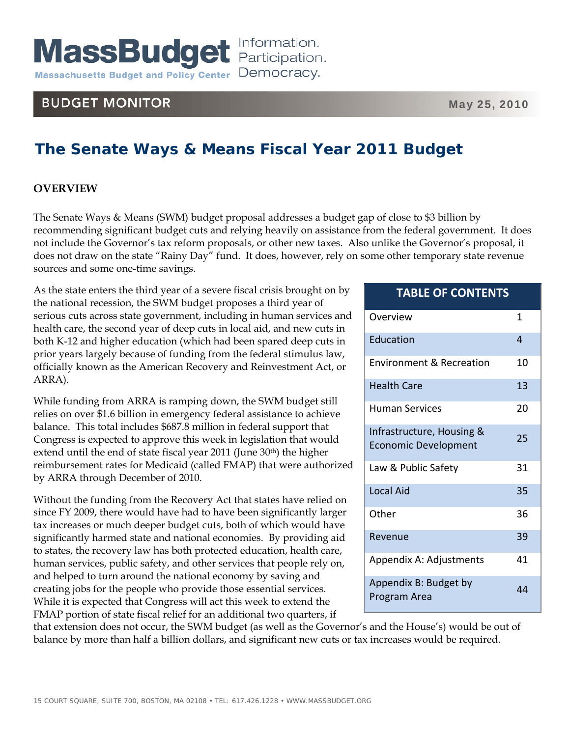# **BUDGET MONITOR**

# **The Senate Ways & Means Fiscal Year 2011 Budget**

# **OVERVIEW**

The Senate Ways & Means (SWM) budget proposal addresses a budget gap of close to \$3 billion by recommending significant budget cuts and relying heavily on assistance from the federal government. It does not include the Governor's tax reform proposals, or other new taxes. Also unlike the Governor's proposal, it does not draw on the state "Rainy Day" fund. It does, however, rely on some other temporary state revenue sources and some one-time savings.

As the state enters the third year of a severe fiscal crisis brought on by the national recession, the SWM budget proposes a third year of serious cuts across state government, including in human services and health care, the second year of deep cuts in local aid, and new cuts in both K-12 and higher education (which had been spared deep cuts in prior years largely because of funding from the federal stimulus law, officially known as the American Recovery and Reinvestment Act, or ARRA).

While funding from ARRA is ramping down, the SWM budget still relies on over \$1.6 billion in emergency federal assistance to achieve balance. This total includes \$687.8 million in federal support that Congress is expected to approve this week in legislation that would extend until the end of state fiscal year 2011 (June 30<sup>th</sup>) the higher reimbursement rates for Medicaid (called FMAP) that were authorized by ARRA through December of 2010.

Without the funding from the Recovery Act that states have relied on since FY 2009, there would have had to have been significantly larger tax increases or much deeper budget cuts, both of which would have significantly harmed state and national economies. By providing aid to states, the recovery law has both protected education, health care, human services, public safety, and other services that people rely on, and helped to turn around the national economy by saving and creating jobs for the people who provide those essential services. While it is expected that Congress will act this week to extend the FMAP portion of state fiscal relief for an additional two quarters, if

that extension does not occur, the SWM budget (as well as the Governor's and the House's) would be out of balance by more than half a billion dollars, and significant new cuts or tax increases would be required.

| Overview                                                 | 1  |
|----------------------------------------------------------|----|
| Education                                                | 4  |
| <b>Fnvironment &amp; Recreation</b>                      | 10 |
| <b>Health Care</b>                                       | 13 |
| Human Services                                           | 20 |
| Infrastructure, Housing &<br><b>Economic Development</b> | 25 |
| Law & Public Safety                                      | 31 |
| <b>Local Aid</b>                                         | 35 |
| Other                                                    | 36 |
| Revenue                                                  | 39 |
| Appendix A: Adjustments                                  | 41 |
| Appendix B: Budget by<br>Program Area                    | 44 |

**TABLE OF CONTENTS**

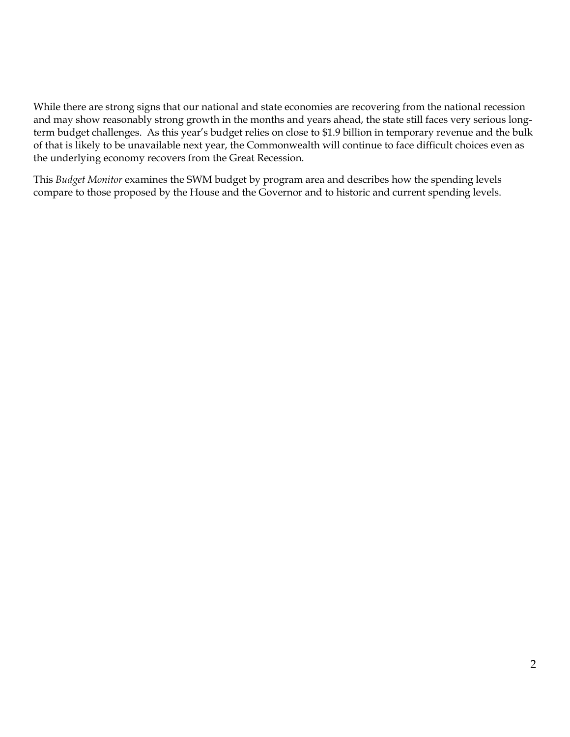While there are strong signs that our national and state economies are recovering from the national recession and may show reasonably strong growth in the months and years ahead, the state still faces very serious longterm budget challenges. As this year's budget relies on close to \$1.9 billion in temporary revenue and the bulk of that is likely to be unavailable next year, the Commonwealth will continue to face difficult choices even as the underlying economy recovers from the Great Recession.

This *Budget Monitor* examines the SWM budget by program area and describes how the spending levels compare to those proposed by the House and the Governor and to historic and current spending levels.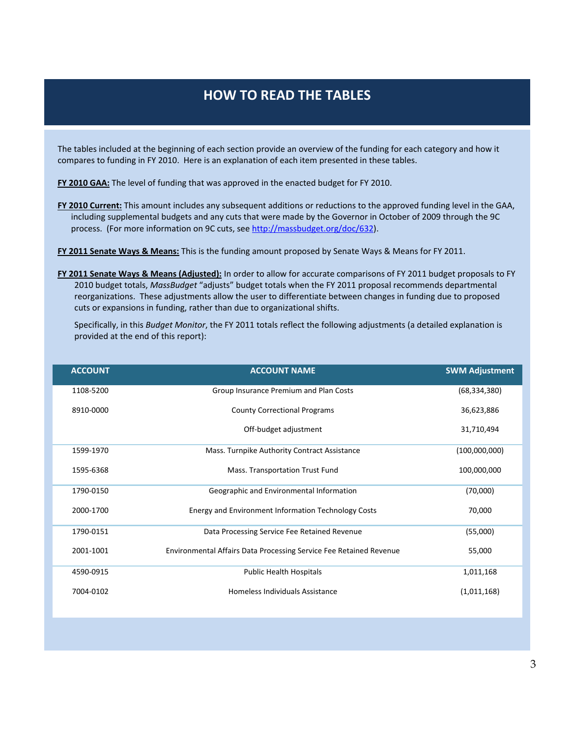# **HOW TO READ THE TABLES**

The tables included at the beginning of each section provide an overview of the funding for each category and how it compares to funding in FY 2010. Here is an explanation of each item presented in these tables.

**FY 2010 GAA:** The level of funding that was approved in the enacted budget for FY 2010.

**FY 2010 Current:** This amount includes any subsequent additions or reductions to the approved funding level in the GAA, including supplemental budgets and any cuts that were made by the Governor in October of 2009 through the 9C process. (For more information on 9C cuts, see http://massbudget.org/doc/632).

**FY 2011 Senate Ways & Means:** This is the funding amount proposed by Senate Ways & Means for FY 2011.

**FY 2011 Senate Ways & Means (Adjusted):** In order to allow for accurate comparisons of FY 2011 budget proposals to FY 2010 budget totals, *MassBudget* "adjusts" budget totals when the FY 2011 proposal recommends departmental reorganizations. These adjustments allow the user to differentiate between changes in funding due to proposed cuts or expansions in funding, rather than due to organizational shifts.

Specifically, in this *Budget Monitor*, the FY 2011 totals reflect the following adjustments (a detailed explanation is provided at the end of this report):

| <b>ACCOUNT</b> | <b>ACCOUNT NAME</b>                                                | <b>SWM Adjustment</b> |
|----------------|--------------------------------------------------------------------|-----------------------|
| 1108-5200      | Group Insurance Premium and Plan Costs                             | (68, 334, 380)        |
| 8910-0000      | <b>County Correctional Programs</b>                                | 36,623,886            |
|                | Off-budget adjustment                                              | 31,710,494            |
| 1599-1970      | Mass. Turnpike Authority Contract Assistance                       | (100,000,000)         |
| 1595-6368      | Mass. Transportation Trust Fund                                    | 100,000,000           |
| 1790-0150      | Geographic and Environmental Information                           | (70,000)              |
| 2000-1700      | Energy and Environment Information Technology Costs                | 70,000                |
| 1790-0151      | Data Processing Service Fee Retained Revenue                       | (55,000)              |
| 2001-1001      | Environmental Affairs Data Processing Service Fee Retained Revenue | 55,000                |
| 4590-0915      | <b>Public Health Hospitals</b>                                     | 1,011,168             |
| 7004-0102      | Homeless Individuals Assistance                                    | (1,011,168)           |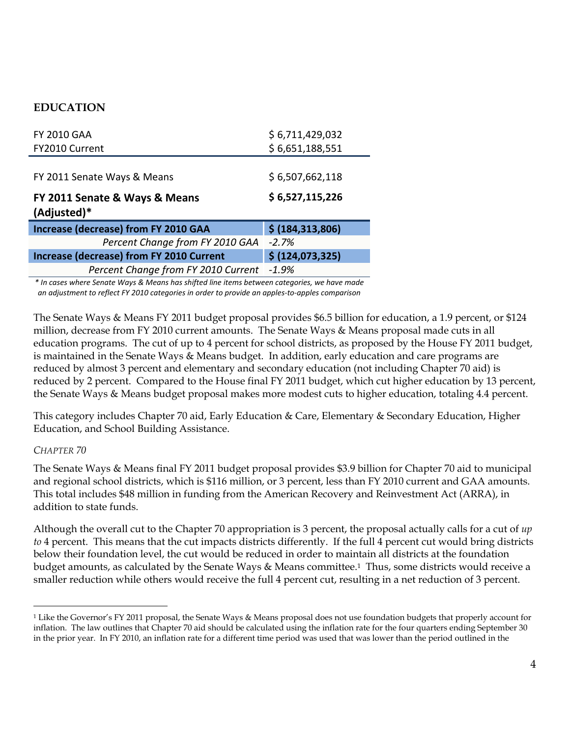# **EDUCATION**

| <b>FY 2010 GAA</b>                              | \$6,711,429,032    |
|-------------------------------------------------|--------------------|
| FY2010 Current                                  | \$6,651,188,551    |
|                                                 |                    |
| FY 2011 Senate Ways & Means                     | \$6,507,662,118    |
| FY 2011 Senate & Ways & Means<br>(Adjusted)*    | \$6,527,115,226    |
| <b>Increase (decrease) from FY 2010 GAA</b>     | \$ (184, 313, 806) |
| Percent Change from FY 2010 GAA                 | $-2.7%$            |
| <b>Increase (decrease) from FY 2010 Current</b> | \$(124,073,325)    |
| Percent Change from FY 2010 Current             | $-1.9%$            |

*\* In cases where Senate Ways & Means has shifted line items between categories, we have made an adjustment to reflect FY 2010 categories in order to provide an apples‐to‐apples comparison*

The Senate Ways & Means FY 2011 budget proposal provides \$6.5 billion for education, a 1.9 percent, or \$124 million, decrease from FY 2010 current amounts. The Senate Ways & Means proposal made cuts in all education programs. The cut of up to 4 percent for school districts, as proposed by the House FY 2011 budget, is maintained in the Senate Ways & Means budget. In addition, early education and care programs are reduced by almost 3 percent and elementary and secondary education (not including Chapter 70 aid) is reduced by 2 percent. Compared to the House final FY 2011 budget, which cut higher education by 13 percent, the Senate Ways & Means budget proposal makes more modest cuts to higher education, totaling 4.4 percent.

This category includes Chapter 70 aid, Early Education & Care, Elementary & Secondary Education, Higher Education, and School Building Assistance.

# *CHAPTER 70*

The Senate Ways & Means final FY 2011 budget proposal provides \$3.9 billion for Chapter 70 aid to municipal and regional school districts, which is \$116 million, or 3 percent, less than FY 2010 current and GAA amounts. This total includes \$48 million in funding from the American Recovery and Reinvestment Act (ARRA), in addition to state funds.

Although the overall cut to the Chapter 70 appropriation is 3 percent, the proposal actually calls for a cut of *up to* 4 percent. This means that the cut impacts districts differently. If the full 4 percent cut would bring districts below their foundation level, the cut would be reduced in order to maintain all districts at the foundation budget amounts, as calculated by the Senate Ways & Means committee.<sup>1</sup> Thus, some districts would receive a smaller reduction while others would receive the full 4 percent cut, resulting in a net reduction of 3 percent.

 $\overline{a}$ 1 Like the Governor's FY 2011 proposal, the Senate Ways & Means proposal does not use foundation budgets that properly account for inflation. The law outlines that Chapter 70 aid should be calculated using the inflation rate for the four quarters ending September 30 in the prior year. In FY 2010, an inflation rate for a different time period was used that was lower than the period outlined in the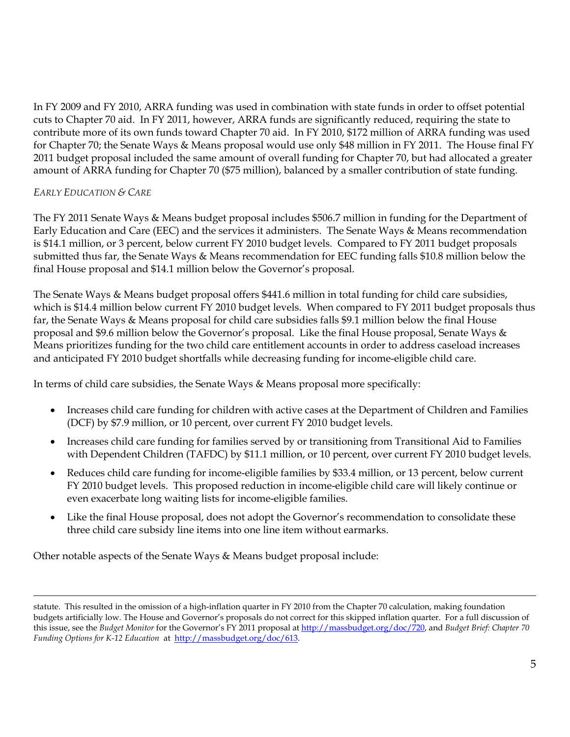In FY 2009 and FY 2010, ARRA funding was used in combination with state funds in order to offset potential cuts to Chapter 70 aid. In FY 2011, however, ARRA funds are significantly reduced, requiring the state to contribute more of its own funds toward Chapter 70 aid. In FY 2010, \$172 million of ARRA funding was used for Chapter 70; the Senate Ways & Means proposal would use only \$48 million in FY 2011. The House final FY 2011 budget proposal included the same amount of overall funding for Chapter 70, but had allocated a greater amount of ARRA funding for Chapter 70 (\$75 million), balanced by a smaller contribution of state funding.

# *EARLY EDUCATION & CARE*

 $\overline{a}$ 

The FY 2011 Senate Ways & Means budget proposal includes \$506.7 million in funding for the Department of Early Education and Care (EEC) and the services it administers. The Senate Ways & Means recommendation is \$14.1 million, or 3 percent, below current FY 2010 budget levels. Compared to FY 2011 budget proposals submitted thus far, the Senate Ways & Means recommendation for EEC funding falls \$10.8 million below the final House proposal and \$14.1 million below the Governor's proposal.

The Senate Ways & Means budget proposal offers \$441.6 million in total funding for child care subsidies, which is \$14.4 million below current FY 2010 budget levels. When compared to FY 2011 budget proposals thus far, the Senate Ways & Means proposal for child care subsidies falls \$9.1 million below the final House proposal and \$9.6 million below the Governor's proposal. Like the final House proposal, Senate Ways & Means prioritizes funding for the two child care entitlement accounts in order to address caseload increases and anticipated FY 2010 budget shortfalls while decreasing funding for income-eligible child care.

In terms of child care subsidies, the Senate Ways & Means proposal more specifically:

- Increases child care funding for children with active cases at the Department of Children and Families (DCF) by \$7.9 million, or 10 percent, over current FY 2010 budget levels.
- Increases child care funding for families served by or transitioning from Transitional Aid to Families with Dependent Children (TAFDC) by \$11.1 million, or 10 percent, over current FY 2010 budget levels.
- Reduces child care funding for income-eligible families by \$33.4 million, or 13 percent, below current FY 2010 budget levels. This proposed reduction in income-eligible child care will likely continue or even exacerbate long waiting lists for income-eligible families.
- Like the final House proposal, does not adopt the Governor's recommendation to consolidate these three child care subsidy line items into one line item without earmarks.

Other notable aspects of the Senate Ways & Means budget proposal include:

statute. This resulted in the omission of a high-inflation quarter in FY 2010 from the Chapter 70 calculation, making foundation budgets artificially low. The House and Governor's proposals do not correct for this skipped inflation quarter. For a full discussion of this issue, see the *Budget Monitor* for the Governor's FY 2011 proposal at http://massbudget.org/doc/720, and *Budget Brief: Chapter 70 Funding Options for K-12 Education* at http://massbudget.org/doc/613.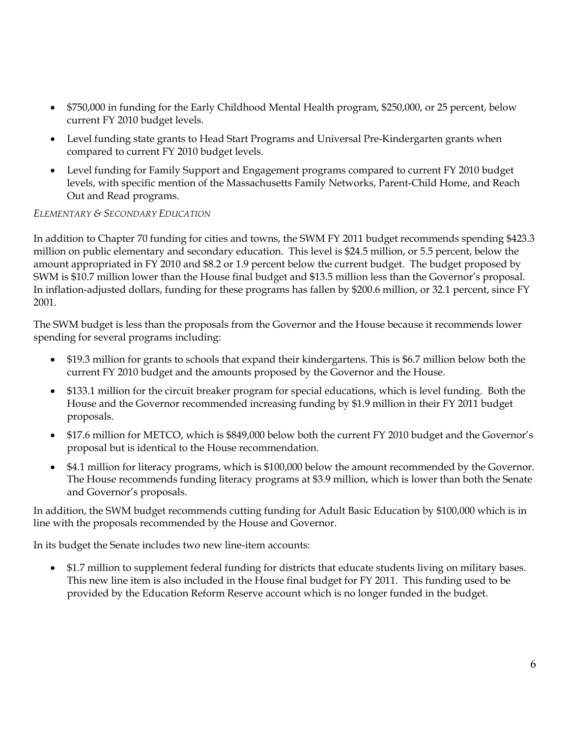- \$750,000 in funding for the Early Childhood Mental Health program, \$250,000, or 25 percent, below current FY 2010 budget levels.
- Level funding state grants to Head Start Programs and Universal Pre-Kindergarten grants when compared to current FY 2010 budget levels.
- Level funding for Family Support and Engagement programs compared to current FY 2010 budget levels, with specific mention of the Massachusetts Family Networks, Parent-Child Home, and Reach Out and Read programs.

### *ELEMENTARY & SECONDARY EDUCATION*

In addition to Chapter 70 funding for cities and towns, the SWM FY 2011 budget recommends spending \$423.3 million on public elementary and secondary education. This level is \$24.5 million, or 5.5 percent, below the amount appropriated in FY 2010 and \$8.2 or 1.9 percent below the current budget. The budget proposed by SWM is \$10.7 million lower than the House final budget and \$13.5 million less than the Governor's proposal. In inflation-adjusted dollars, funding for these programs has fallen by \$200.6 million, or 32.1 percent, since FY 2001.

The SWM budget is less than the proposals from the Governor and the House because it recommends lower spending for several programs including:

- \$19.3 million for grants to schools that expand their kindergartens. This is \$6.7 million below both the current FY 2010 budget and the amounts proposed by the Governor and the House.
- \$133.1 million for the circuit breaker program for special educations, which is level funding. Both the House and the Governor recommended increasing funding by \$1.9 million in their FY 2011 budget proposals.
- \$17.6 million for METCO, which is \$849,000 below both the current FY 2010 budget and the Governor's proposal but is identical to the House recommendation.
- \$4.1 million for literacy programs, which is \$100,000 below the amount recommended by the Governor. The House recommends funding literacy programs at \$3.9 million, which is lower than both the Senate and Governor's proposals.

In addition, the SWM budget recommends cutting funding for Adult Basic Education by \$100,000 which is in line with the proposals recommended by the House and Governor.

In its budget the Senate includes two new line-item accounts:

• \$1.7 million to supplement federal funding for districts that educate students living on military bases. This new line item is also included in the House final budget for FY 2011. This funding used to be provided by the Education Reform Reserve account which is no longer funded in the budget.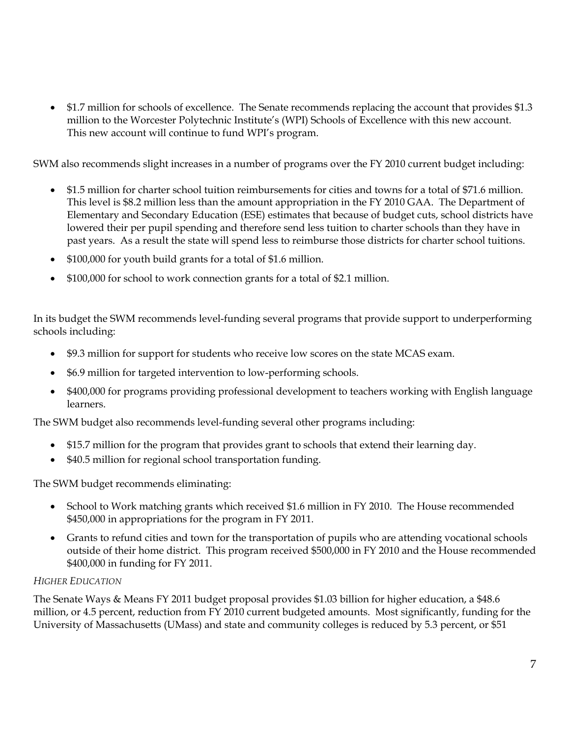• \$1.7 million for schools of excellence. The Senate recommends replacing the account that provides \$1.3 million to the Worcester Polytechnic Institute's (WPI) Schools of Excellence with this new account. This new account will continue to fund WPI's program.

SWM also recommends slight increases in a number of programs over the FY 2010 current budget including:

- \$1.5 million for charter school tuition reimbursements for cities and towns for a total of \$71.6 million. This level is \$8.2 million less than the amount appropriation in the FY 2010 GAA. The Department of Elementary and Secondary Education (ESE) estimates that because of budget cuts, school districts have lowered their per pupil spending and therefore send less tuition to charter schools than they have in past years. As a result the state will spend less to reimburse those districts for charter school tuitions.
- \$100,000 for youth build grants for a total of \$1.6 million.
- \$100,000 for school to work connection grants for a total of \$2.1 million.

In its budget the SWM recommends level-funding several programs that provide support to underperforming schools including:

- \$9.3 million for support for students who receive low scores on the state MCAS exam.
- \$6.9 million for targeted intervention to low-performing schools.
- \$400,000 for programs providing professional development to teachers working with English language learners.

The SWM budget also recommends level-funding several other programs including:

- \$15.7 million for the program that provides grant to schools that extend their learning day.
- \$40.5 million for regional school transportation funding.

The SWM budget recommends eliminating:

- School to Work matching grants which received \$1.6 million in FY 2010. The House recommended \$450,000 in appropriations for the program in FY 2011.
- Grants to refund cities and town for the transportation of pupils who are attending vocational schools outside of their home district. This program received \$500,000 in FY 2010 and the House recommended \$400,000 in funding for FY 2011.

### *HIGHER EDUCATION*

The Senate Ways & Means FY 2011 budget proposal provides \$1.03 billion for higher education, a \$48.6 million, or 4.5 percent, reduction from FY 2010 current budgeted amounts. Most significantly, funding for the University of Massachusetts (UMass) and state and community colleges is reduced by 5.3 percent, or \$51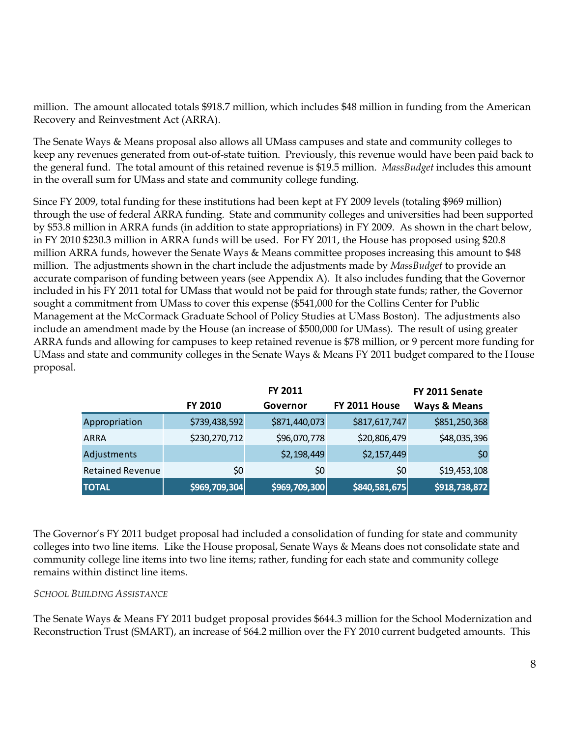million. The amount allocated totals \$918.7 million, which includes \$48 million in funding from the American Recovery and Reinvestment Act (ARRA).

The Senate Ways & Means proposal also allows all UMass campuses and state and community colleges to keep any revenues generated from out-of-state tuition. Previously, this revenue would have been paid back to the general fund. The total amount of this retained revenue is \$19.5 million. *MassBudget* includes this amount in the overall sum for UMass and state and community college funding.

Since FY 2009, total funding for these institutions had been kept at FY 2009 levels (totaling \$969 million) through the use of federal ARRA funding. State and community colleges and universities had been supported by \$53.8 million in ARRA funds (in addition to state appropriations) in FY 2009. As shown in the chart below, in FY 2010 \$230.3 million in ARRA funds will be used. For FY 2011, the House has proposed using \$20.8 million ARRA funds, however the Senate Ways & Means committee proposes increasing this amount to \$48 million. The adjustments shown in the chart include the adjustments made by *MassBudget* to provide an accurate comparison of funding between years (see Appendix A). It also includes funding that the Governor included in his FY 2011 total for UMass that would not be paid for through state funds; rather, the Governor sought a commitment from UMass to cover this expense (\$541,000 for the Collins Center for Public Management at the McCormack Graduate School of Policy Studies at UMass Boston). The adjustments also include an amendment made by the House (an increase of \$500,000 for UMass). The result of using greater ARRA funds and allowing for campuses to keep retained revenue is \$78 million, or 9 percent more funding for UMass and state and community colleges in the Senate Ways & Means FY 2011 budget compared to the House proposal.

|                         |               | FY 2011       |               | FY 2011 Senate          |
|-------------------------|---------------|---------------|---------------|-------------------------|
|                         | FY 2010       | Governor      | FY 2011 House | <b>Ways &amp; Means</b> |
| Appropriation           | \$739,438,592 | \$871,440,073 | \$817,617,747 | \$851,250,368           |
| <b>ARRA</b>             | \$230,270,712 | \$96,070,778  | \$20,806,479  | \$48,035,396            |
| Adjustments             |               | \$2,198,449   | \$2,157,449   | \$0                     |
| <b>Retained Revenue</b> | \$0           | \$0           | \$0           | \$19,453,108            |
| <b>TOTAL</b>            | \$969,709,304 | \$969,709,300 | \$840,581,675 | \$918,738,872           |

The Governor's FY 2011 budget proposal had included a consolidation of funding for state and community colleges into two line items. Like the House proposal, Senate Ways & Means does not consolidate state and community college line items into two line items; rather, funding for each state and community college remains within distinct line items.

### *SCHOOL BUILDING ASSISTANCE*

The Senate Ways & Means FY 2011 budget proposal provides \$644.3 million for the School Modernization and Reconstruction Trust (SMART), an increase of \$64.2 million over the FY 2010 current budgeted amounts. This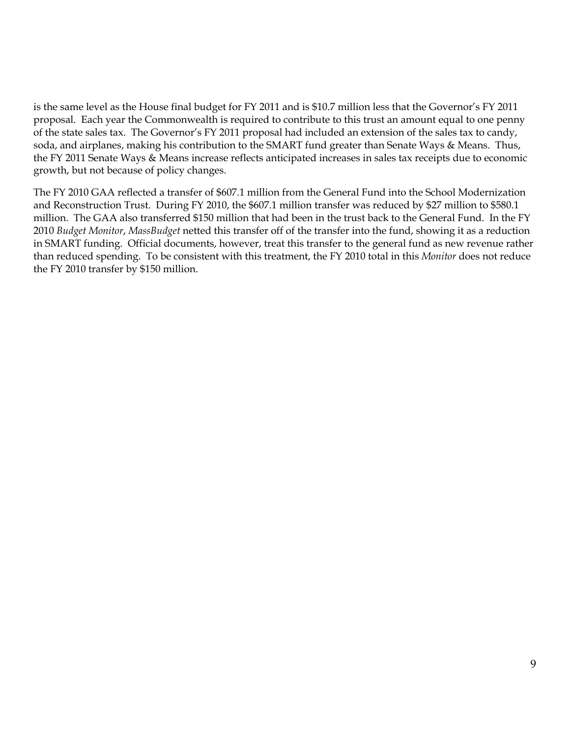is the same level as the House final budget for FY 2011 and is \$10.7 million less that the Governor's FY 2011 proposal. Each year the Commonwealth is required to contribute to this trust an amount equal to one penny of the state sales tax. The Governor's FY 2011 proposal had included an extension of the sales tax to candy, soda, and airplanes, making his contribution to the SMART fund greater than Senate Ways & Means. Thus, the FY 2011 Senate Ways & Means increase reflects anticipated increases in sales tax receipts due to economic growth, but not because of policy changes.

The FY 2010 GAA reflected a transfer of \$607.1 million from the General Fund into the School Modernization and Reconstruction Trust. During FY 2010, the \$607.1 million transfer was reduced by \$27 million to \$580.1 million. The GAA also transferred \$150 million that had been in the trust back to the General Fund. In the FY 2010 *Budget Monitor*, *MassBudget* netted this transfer off of the transfer into the fund, showing it as a reduction in SMART funding. Official documents, however, treat this transfer to the general fund as new revenue rather than reduced spending. To be consistent with this treatment, the FY 2010 total in this *Monitor* does not reduce the FY 2010 transfer by \$150 million.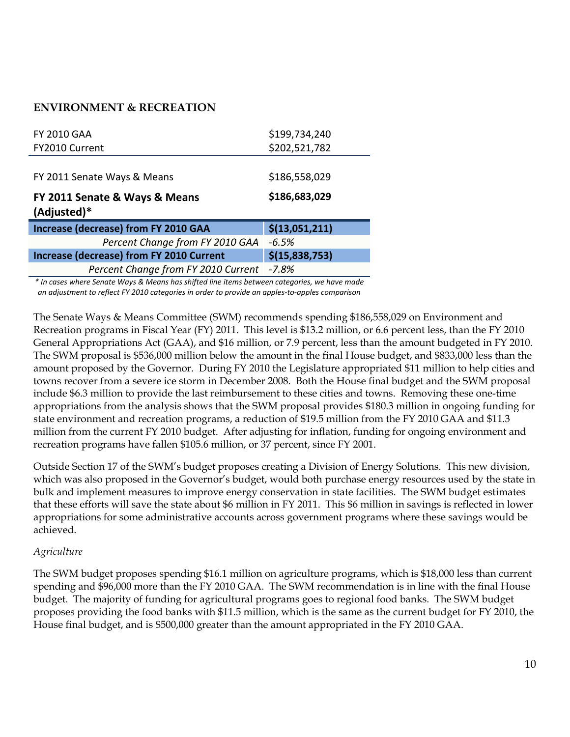# **ENVIRONMENT & RECREATION**

| <b>FY 2010 GAA</b>                              | \$199,734,240  |
|-------------------------------------------------|----------------|
| FY2010 Current                                  | \$202,521,782  |
|                                                 |                |
| FY 2011 Senate Ways & Means                     | \$186,558,029  |
| FY 2011 Senate & Ways & Means<br>(Adjusted)*    | \$186,683,029  |
|                                                 |                |
| <b>Increase (decrease) from FY 2010 GAA</b>     | \$(13,051,211) |
| Percent Change from FY 2010 GAA                 | $-6.5%$        |
| <b>Increase (decrease) from FY 2010 Current</b> | \$(15,838,753) |

*\* In cases where Senate Ways & Means has shifted line items between categories, we have made an adjustment to reflect FY 2010 categories in order to provide an apples‐to‐apples comparison*

The Senate Ways & Means Committee (SWM) recommends spending \$186,558,029 on Environment and Recreation programs in Fiscal Year (FY) 2011. This level is \$13.2 million, or 6.6 percent less, than the FY 2010 General Appropriations Act (GAA), and \$16 million, or 7.9 percent, less than the amount budgeted in FY 2010. The SWM proposal is \$536,000 million below the amount in the final House budget, and \$833,000 less than the amount proposed by the Governor. During FY 2010 the Legislature appropriated \$11 million to help cities and towns recover from a severe ice storm in December 2008. Both the House final budget and the SWM proposal include \$6.3 million to provide the last reimbursement to these cities and towns. Removing these one-time appropriations from the analysis shows that the SWM proposal provides \$180.3 million in ongoing funding for state environment and recreation programs, a reduction of \$19.5 million from the FY 2010 GAA and \$11.3 million from the current FY 2010 budget. After adjusting for inflation, funding for ongoing environment and recreation programs have fallen \$105.6 million, or 37 percent, since FY 2001.

Outside Section 17 of the SWM's budget proposes creating a Division of Energy Solutions. This new division, which was also proposed in the Governor's budget, would both purchase energy resources used by the state in bulk and implement measures to improve energy conservation in state facilities. The SWM budget estimates that these efforts will save the state about \$6 million in FY 2011. This \$6 million in savings is reflected in lower appropriations for some administrative accounts across government programs where these savings would be achieved.

### *Agriculture*

The SWM budget proposes spending \$16.1 million on agriculture programs, which is \$18,000 less than current spending and \$96,000 more than the FY 2010 GAA. The SWM recommendation is in line with the final House budget. The majority of funding for agricultural programs goes to regional food banks. The SWM budget proposes providing the food banks with \$11.5 million, which is the same as the current budget for FY 2010, the House final budget, and is \$500,000 greater than the amount appropriated in the FY 2010 GAA.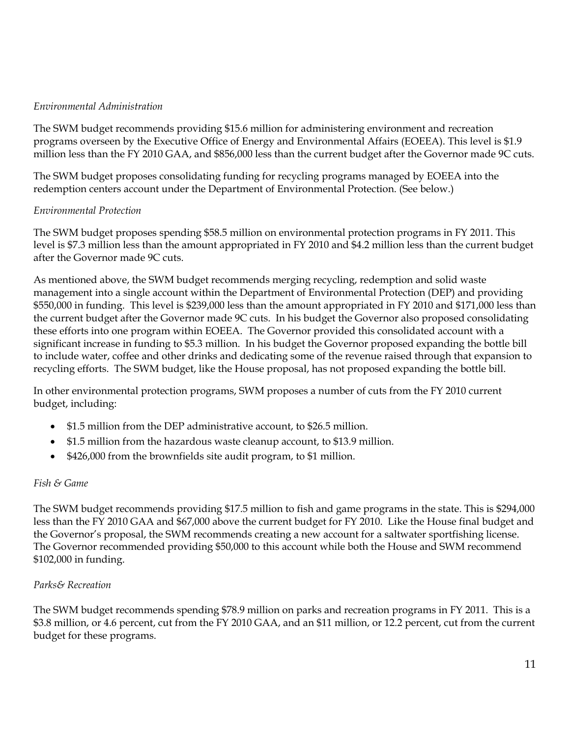### *Environmental Administration*

The SWM budget recommends providing \$15.6 million for administering environment and recreation programs overseen by the Executive Office of Energy and Environmental Affairs (EOEEA). This level is \$1.9 million less than the FY 2010 GAA, and \$856,000 less than the current budget after the Governor made 9C cuts.

The SWM budget proposes consolidating funding for recycling programs managed by EOEEA into the redemption centers account under the Department of Environmental Protection. (See below.)

### *Environmental Protection*

The SWM budget proposes spending \$58.5 million on environmental protection programs in FY 2011. This level is \$7.3 million less than the amount appropriated in FY 2010 and \$4.2 million less than the current budget after the Governor made 9C cuts.

As mentioned above, the SWM budget recommends merging recycling, redemption and solid waste management into a single account within the Department of Environmental Protection (DEP) and providing \$550,000 in funding. This level is \$239,000 less than the amount appropriated in FY 2010 and \$171,000 less than the current budget after the Governor made 9C cuts. In his budget the Governor also proposed consolidating these efforts into one program within EOEEA. The Governor provided this consolidated account with a significant increase in funding to \$5.3 million. In his budget the Governor proposed expanding the bottle bill to include water, coffee and other drinks and dedicating some of the revenue raised through that expansion to recycling efforts. The SWM budget, like the House proposal, has not proposed expanding the bottle bill.

In other environmental protection programs, SWM proposes a number of cuts from the FY 2010 current budget, including:

- \$1.5 million from the DEP administrative account, to \$26.5 million.
- \$1.5 million from the hazardous waste cleanup account, to \$13.9 million.
- \$426,000 from the brownfields site audit program, to \$1 million.

### *Fish & Game*

The SWM budget recommends providing \$17.5 million to fish and game programs in the state. This is \$294,000 less than the FY 2010 GAA and \$67,000 above the current budget for FY 2010. Like the House final budget and the Governor's proposal, the SWM recommends creating a new account for a saltwater sportfishing license. The Governor recommended providing \$50,000 to this account while both the House and SWM recommend \$102,000 in funding.

### *Parks& Recreation*

The SWM budget recommends spending \$78.9 million on parks and recreation programs in FY 2011. This is a \$3.8 million, or 4.6 percent, cut from the FY 2010 GAA, and an \$11 million, or 12.2 percent, cut from the current budget for these programs.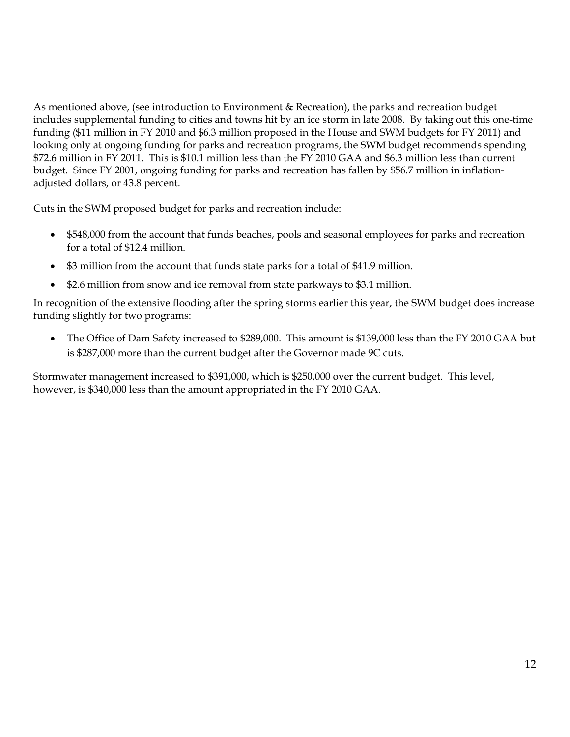As mentioned above, (see introduction to Environment & Recreation), the parks and recreation budget includes supplemental funding to cities and towns hit by an ice storm in late 2008. By taking out this one-time funding (\$11 million in FY 2010 and \$6.3 million proposed in the House and SWM budgets for FY 2011) and looking only at ongoing funding for parks and recreation programs, the SWM budget recommends spending \$72.6 million in FY 2011. This is \$10.1 million less than the FY 2010 GAA and \$6.3 million less than current budget. Since FY 2001, ongoing funding for parks and recreation has fallen by \$56.7 million in inflationadjusted dollars, or 43.8 percent.

Cuts in the SWM proposed budget for parks and recreation include:

- \$548,000 from the account that funds beaches, pools and seasonal employees for parks and recreation for a total of \$12.4 million.
- \$3 million from the account that funds state parks for a total of \$41.9 million.
- \$2.6 million from snow and ice removal from state parkways to \$3.1 million.

In recognition of the extensive flooding after the spring storms earlier this year, the SWM budget does increase funding slightly for two programs:

 The Office of Dam Safety increased to \$289,000. This amount is \$139,000 less than the FY 2010 GAA but is \$287,000 more than the current budget after the Governor made 9C cuts.

Stormwater management increased to \$391,000, which is \$250,000 over the current budget. This level, however, is \$340,000 less than the amount appropriated in the FY 2010 GAA.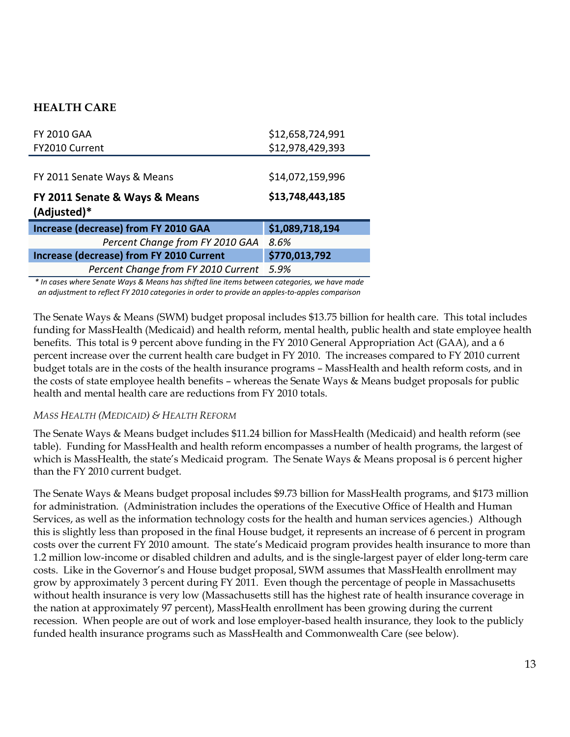# **HEALTH CARE**

| <b>FY 2010 GAA</b>                              | \$12,658,724,991 |
|-------------------------------------------------|------------------|
| FY2010 Current                                  | \$12,978,429,393 |
|                                                 |                  |
| FY 2011 Senate Ways & Means                     | \$14,072,159,996 |
| FY 2011 Senate & Ways & Means                   | \$13,748,443,185 |
| (Adjusted)*                                     |                  |
| <b>Increase (decrease) from FY 2010 GAA</b>     | \$1,089,718,194  |
| Percent Change from FY 2010 GAA                 | 8.6%             |
| <b>Increase (decrease) from FY 2010 Current</b> | \$770,013,792    |

*\* In cases where Senate Ways & Means has shifted line items between categories, we have made an adjustment to reflect FY 2010 categories in order to provide an apples‐to‐apples comparison*

The Senate Ways & Means (SWM) budget proposal includes \$13.75 billion for health care. This total includes funding for MassHealth (Medicaid) and health reform, mental health, public health and state employee health benefits. This total is 9 percent above funding in the FY 2010 General Appropriation Act (GAA), and a 6 percent increase over the current health care budget in FY 2010. The increases compared to FY 2010 current budget totals are in the costs of the health insurance programs – MassHealth and health reform costs, and in the costs of state employee health benefits – whereas the Senate Ways & Means budget proposals for public health and mental health care are reductions from FY 2010 totals.

### *MASS HEALTH (MEDICAID) & HEALTH REFORM*

The Senate Ways & Means budget includes \$11.24 billion for MassHealth (Medicaid) and health reform (see table). Funding for MassHealth and health reform encompasses a number of health programs, the largest of which is MassHealth, the state's Medicaid program. The Senate Ways & Means proposal is 6 percent higher than the FY 2010 current budget.

The Senate Ways & Means budget proposal includes \$9.73 billion for MassHealth programs, and \$173 million for administration. (Administration includes the operations of the Executive Office of Health and Human Services, as well as the information technology costs for the health and human services agencies.) Although this is slightly less than proposed in the final House budget, it represents an increase of 6 percent in program costs over the current FY 2010 amount. The state's Medicaid program provides health insurance to more than 1.2 million low-income or disabled children and adults, and is the single-largest payer of elder long-term care costs. Like in the Governor's and House budget proposal, SWM assumes that MassHealth enrollment may grow by approximately 3 percent during FY 2011. Even though the percentage of people in Massachusetts without health insurance is very low (Massachusetts still has the highest rate of health insurance coverage in the nation at approximately 97 percent), MassHealth enrollment has been growing during the current recession. When people are out of work and lose employer-based health insurance, they look to the publicly funded health insurance programs such as MassHealth and Commonwealth Care (see below).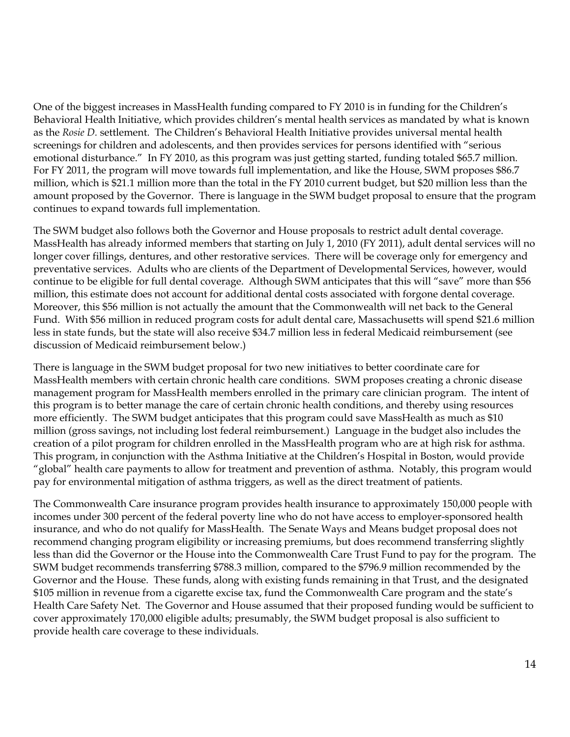One of the biggest increases in MassHealth funding compared to FY 2010 is in funding for the Children's Behavioral Health Initiative, which provides children's mental health services as mandated by what is known as the *Rosie D.* settlement. The Children's Behavioral Health Initiative provides universal mental health screenings for children and adolescents, and then provides services for persons identified with "serious emotional disturbance." In FY 2010, as this program was just getting started, funding totaled \$65.7 million. For FY 2011, the program will move towards full implementation, and like the House, SWM proposes \$86.7 million, which is \$21.1 million more than the total in the FY 2010 current budget, but \$20 million less than the amount proposed by the Governor. There is language in the SWM budget proposal to ensure that the program continues to expand towards full implementation.

The SWM budget also follows both the Governor and House proposals to restrict adult dental coverage. MassHealth has already informed members that starting on July 1, 2010 (FY 2011), adult dental services will no longer cover fillings, dentures, and other restorative services. There will be coverage only for emergency and preventative services. Adults who are clients of the Department of Developmental Services, however, would continue to be eligible for full dental coverage. Although SWM anticipates that this will "save" more than \$56 million, this estimate does not account for additional dental costs associated with forgone dental coverage. Moreover, this \$56 million is not actually the amount that the Commonwealth will net back to the General Fund. With \$56 million in reduced program costs for adult dental care, Massachusetts will spend \$21.6 million less in state funds, but the state will also receive \$34.7 million less in federal Medicaid reimbursement (see discussion of Medicaid reimbursement below.)

There is language in the SWM budget proposal for two new initiatives to better coordinate care for MassHealth members with certain chronic health care conditions. SWM proposes creating a chronic disease management program for MassHealth members enrolled in the primary care clinician program. The intent of this program is to better manage the care of certain chronic health conditions, and thereby using resources more efficiently. The SWM budget anticipates that this program could save MassHealth as much as \$10 million (gross savings, not including lost federal reimbursement.) Language in the budget also includes the creation of a pilot program for children enrolled in the MassHealth program who are at high risk for asthma. This program, in conjunction with the Asthma Initiative at the Children's Hospital in Boston, would provide "global" health care payments to allow for treatment and prevention of asthma. Notably, this program would pay for environmental mitigation of asthma triggers, as well as the direct treatment of patients.

The Commonwealth Care insurance program provides health insurance to approximately 150,000 people with incomes under 300 percent of the federal poverty line who do not have access to employer-sponsored health insurance, and who do not qualify for MassHealth. The Senate Ways and Means budget proposal does not recommend changing program eligibility or increasing premiums, but does recommend transferring slightly less than did the Governor or the House into the Commonwealth Care Trust Fund to pay for the program. The SWM budget recommends transferring \$788.3 million, compared to the \$796.9 million recommended by the Governor and the House. These funds, along with existing funds remaining in that Trust, and the designated \$105 million in revenue from a cigarette excise tax, fund the Commonwealth Care program and the state's Health Care Safety Net. The Governor and House assumed that their proposed funding would be sufficient to cover approximately 170,000 eligible adults; presumably, the SWM budget proposal is also sufficient to provide health care coverage to these individuals.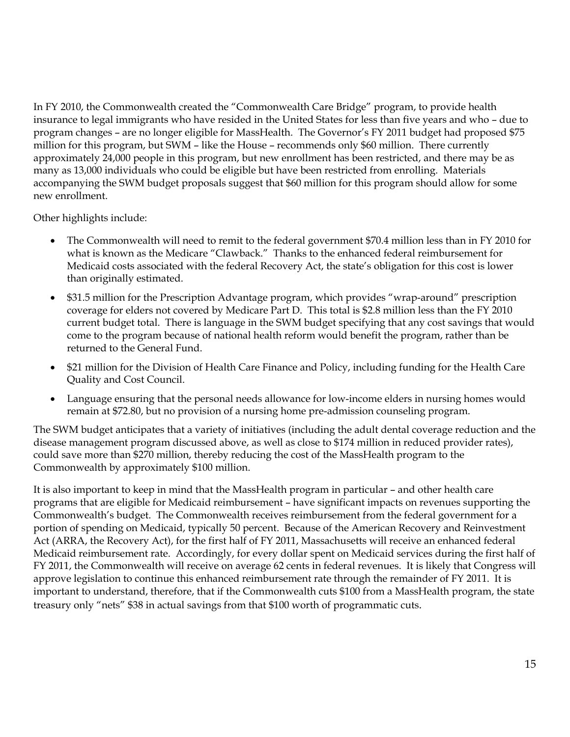In FY 2010, the Commonwealth created the "Commonwealth Care Bridge" program, to provide health insurance to legal immigrants who have resided in the United States for less than five years and who – due to program changes – are no longer eligible for MassHealth. The Governor's FY 2011 budget had proposed \$75 million for this program, but SWM – like the House – recommends only \$60 million. There currently approximately 24,000 people in this program, but new enrollment has been restricted, and there may be as many as 13,000 individuals who could be eligible but have been restricted from enrolling. Materials accompanying the SWM budget proposals suggest that \$60 million for this program should allow for some new enrollment.

Other highlights include:

- The Commonwealth will need to remit to the federal government \$70.4 million less than in FY 2010 for what is known as the Medicare "Clawback." Thanks to the enhanced federal reimbursement for Medicaid costs associated with the federal Recovery Act, the state's obligation for this cost is lower than originally estimated.
- \$31.5 million for the Prescription Advantage program, which provides "wrap-around" prescription coverage for elders not covered by Medicare Part D. This total is \$2.8 million less than the FY 2010 current budget total. There is language in the SWM budget specifying that any cost savings that would come to the program because of national health reform would benefit the program, rather than be returned to the General Fund.
- \$21 million for the Division of Health Care Finance and Policy, including funding for the Health Care Quality and Cost Council.
- Language ensuring that the personal needs allowance for low-income elders in nursing homes would remain at \$72.80, but no provision of a nursing home pre-admission counseling program.

The SWM budget anticipates that a variety of initiatives (including the adult dental coverage reduction and the disease management program discussed above, as well as close to \$174 million in reduced provider rates), could save more than \$270 million, thereby reducing the cost of the MassHealth program to the Commonwealth by approximately \$100 million.

It is also important to keep in mind that the MassHealth program in particular – and other health care programs that are eligible for Medicaid reimbursement – have significant impacts on revenues supporting the Commonwealth's budget. The Commonwealth receives reimbursement from the federal government for a portion of spending on Medicaid, typically 50 percent. Because of the American Recovery and Reinvestment Act (ARRA, the Recovery Act), for the first half of FY 2011, Massachusetts will receive an enhanced federal Medicaid reimbursement rate. Accordingly, for every dollar spent on Medicaid services during the first half of FY 2011, the Commonwealth will receive on average 62 cents in federal revenues. It is likely that Congress will approve legislation to continue this enhanced reimbursement rate through the remainder of FY 2011. It is important to understand, therefore, that if the Commonwealth cuts \$100 from a MassHealth program, the state treasury only "nets" \$38 in actual savings from that \$100 worth of programmatic cuts.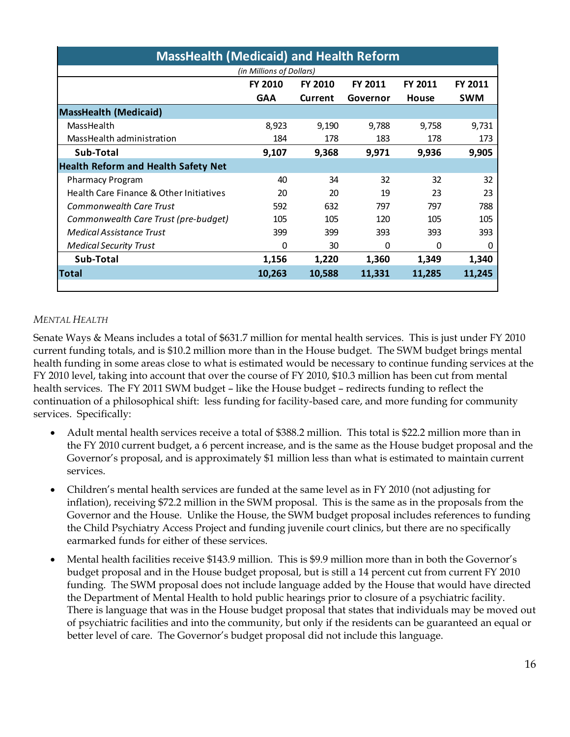| <b>MassHealth (Medicaid) and Health Reform</b> |                |                |                |         |                |
|------------------------------------------------|----------------|----------------|----------------|---------|----------------|
| (in Millions of Dollars)                       |                |                |                |         |                |
|                                                | <b>FY 2010</b> | <b>FY 2010</b> | <b>FY 2011</b> | FY 2011 | <b>FY 2011</b> |
|                                                | <b>GAA</b>     | Current        | Governor       | House   | <b>SWM</b>     |
| <b>MassHealth (Medicaid)</b>                   |                |                |                |         |                |
| MassHealth                                     | 8,923          | 9,190          | 9,788          | 9,758   | 9,731          |
| MassHealth administration                      | 184            | 178            | 183            | 178     | 173            |
| Sub-Total                                      | 9,107          | 9,368          | 9,971          | 9,936   | 9,905          |
| <b>Health Reform and Health Safety Net</b>     |                |                |                |         |                |
| <b>Pharmacy Program</b>                        | 40             | 34             | 32             | 32      | 32             |
| Health Care Finance & Other Initiatives        | 20             | 20             | 19             | 23      | 23             |
| <b>Commonwealth Care Trust</b>                 | 592            | 632            | 797            | 797     | 788            |
| Commonwealth Care Trust (pre-budget)           | 105            | 105            | 120            | 105     | 105            |
| Medical Assistance Trust                       | 399            | 399            | 393            | 393     | 393            |
| <b>Medical Security Trust</b>                  | 0              | 30             | 0              | 0       | 0              |
| Sub-Total                                      | 1,156          | 1,220          | 1,360          | 1,349   | 1,340          |
| <b>Total</b>                                   | 10,263         | 10,588         | 11,331         | 11,285  | 11.245         |
|                                                |                |                |                |         |                |

# *MENTAL HEALTH*

Senate Ways & Means includes a total of \$631.7 million for mental health services. This is just under FY 2010 current funding totals, and is \$10.2 million more than in the House budget. The SWM budget brings mental health funding in some areas close to what is estimated would be necessary to continue funding services at the FY 2010 level, taking into account that over the course of FY 2010, \$10.3 million has been cut from mental health services. The FY 2011 SWM budget – like the House budget – redirects funding to reflect the continuation of a philosophical shift: less funding for facility-based care, and more funding for community services. Specifically:

- Adult mental health services receive a total of \$388.2 million. This total is \$22.2 million more than in the FY 2010 current budget, a 6 percent increase, and is the same as the House budget proposal and the Governor's proposal, and is approximately \$1 million less than what is estimated to maintain current services.
- Children's mental health services are funded at the same level as in FY 2010 (not adjusting for inflation), receiving \$72.2 million in the SWM proposal. This is the same as in the proposals from the Governor and the House. Unlike the House, the SWM budget proposal includes references to funding the Child Psychiatry Access Project and funding juvenile court clinics, but there are no specifically earmarked funds for either of these services.
- Mental health facilities receive \$143.9 million. This is \$9.9 million more than in both the Governor's budget proposal and in the House budget proposal, but is still a 14 percent cut from current FY 2010 funding. The SWM proposal does not include language added by the House that would have directed the Department of Mental Health to hold public hearings prior to closure of a psychiatric facility. There is language that was in the House budget proposal that states that individuals may be moved out of psychiatric facilities and into the community, but only if the residents can be guaranteed an equal or better level of care. The Governor's budget proposal did not include this language.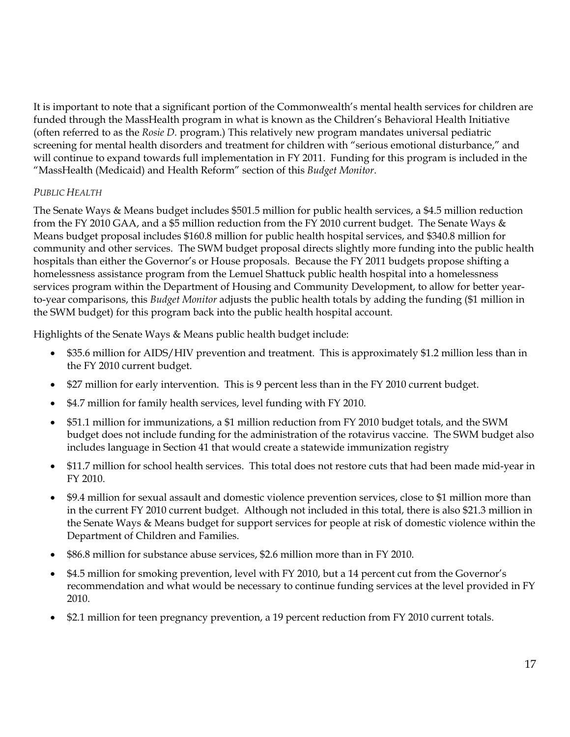It is important to note that a significant portion of the Commonwealth's mental health services for children are funded through the MassHealth program in what is known as the Children's Behavioral Health Initiative (often referred to as the *Rosie D.* program.) This relatively new program mandates universal pediatric screening for mental health disorders and treatment for children with "serious emotional disturbance," and will continue to expand towards full implementation in FY 2011. Funding for this program is included in the "MassHealth (Medicaid) and Health Reform" section of this *Budget Monitor*.

# *PUBLIC HEALTH*

The Senate Ways & Means budget includes \$501.5 million for public health services, a \$4.5 million reduction from the FY 2010 GAA, and a \$5 million reduction from the FY 2010 current budget. The Senate Ways & Means budget proposal includes \$160.8 million for public health hospital services, and \$340.8 million for community and other services. The SWM budget proposal directs slightly more funding into the public health hospitals than either the Governor's or House proposals. Because the FY 2011 budgets propose shifting a homelessness assistance program from the Lemuel Shattuck public health hospital into a homelessness services program within the Department of Housing and Community Development, to allow for better yearto-year comparisons, this *Budget Monitor* adjusts the public health totals by adding the funding (\$1 million in the SWM budget) for this program back into the public health hospital account.

Highlights of the Senate Ways & Means public health budget include:

- \$35.6 million for AIDS/HIV prevention and treatment. This is approximately \$1.2 million less than in the FY 2010 current budget.
- \$27 million for early intervention. This is 9 percent less than in the FY 2010 current budget.
- \$4.7 million for family health services, level funding with FY 2010.
- \$51.1 million for immunizations, a \$1 million reduction from FY 2010 budget totals, and the SWM budget does not include funding for the administration of the rotavirus vaccine. The SWM budget also includes language in Section 41 that would create a statewide immunization registry
- \$11.7 million for school health services. This total does not restore cuts that had been made mid-year in FY 2010.
- \$9.4 million for sexual assault and domestic violence prevention services, close to \$1 million more than in the current FY 2010 current budget. Although not included in this total, there is also \$21.3 million in the Senate Ways & Means budget for support services for people at risk of domestic violence within the Department of Children and Families.
- \$86.8 million for substance abuse services, \$2.6 million more than in FY 2010.
- \$4.5 million for smoking prevention, level with FY 2010, but a 14 percent cut from the Governor's recommendation and what would be necessary to continue funding services at the level provided in FY 2010.
- \$2.1 million for teen pregnancy prevention, a 19 percent reduction from FY 2010 current totals.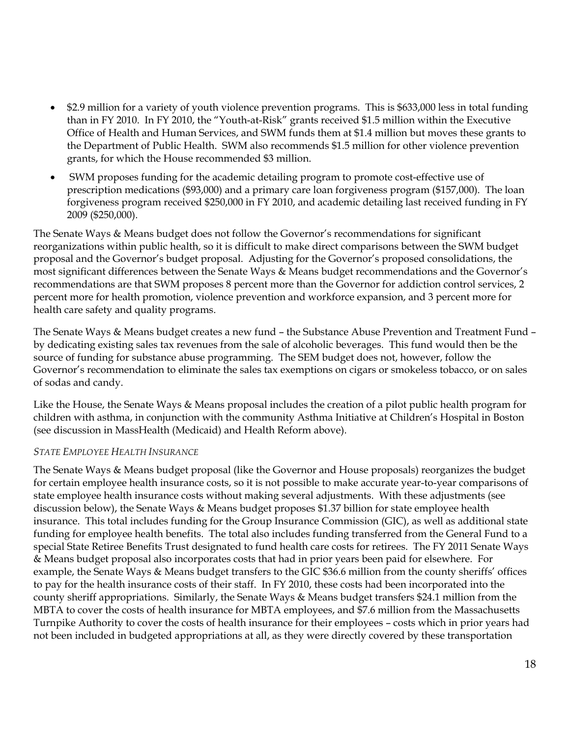- \$2.9 million for a variety of youth violence prevention programs. This is \$633,000 less in total funding than in FY 2010. In FY 2010, the "Youth-at-Risk" grants received \$1.5 million within the Executive Office of Health and Human Services, and SWM funds them at \$1.4 million but moves these grants to the Department of Public Health. SWM also recommends \$1.5 million for other violence prevention grants, for which the House recommended \$3 million.
- SWM proposes funding for the academic detailing program to promote cost-effective use of prescription medications (\$93,000) and a primary care loan forgiveness program (\$157,000). The loan forgiveness program received \$250,000 in FY 2010, and academic detailing last received funding in FY 2009 (\$250,000).

The Senate Ways & Means budget does not follow the Governor's recommendations for significant reorganizations within public health, so it is difficult to make direct comparisons between the SWM budget proposal and the Governor's budget proposal. Adjusting for the Governor's proposed consolidations, the most significant differences between the Senate Ways & Means budget recommendations and the Governor's recommendations are that SWM proposes 8 percent more than the Governor for addiction control services, 2 percent more for health promotion, violence prevention and workforce expansion, and 3 percent more for health care safety and quality programs.

The Senate Ways & Means budget creates a new fund – the Substance Abuse Prevention and Treatment Fund – by dedicating existing sales tax revenues from the sale of alcoholic beverages. This fund would then be the source of funding for substance abuse programming. The SEM budget does not, however, follow the Governor's recommendation to eliminate the sales tax exemptions on cigars or smokeless tobacco, or on sales of sodas and candy.

Like the House, the Senate Ways & Means proposal includes the creation of a pilot public health program for children with asthma, in conjunction with the community Asthma Initiative at Children's Hospital in Boston (see discussion in MassHealth (Medicaid) and Health Reform above).

### *STATE EMPLOYEE HEALTH INSURANCE*

The Senate Ways & Means budget proposal (like the Governor and House proposals) reorganizes the budget for certain employee health insurance costs, so it is not possible to make accurate year-to-year comparisons of state employee health insurance costs without making several adjustments. With these adjustments (see discussion below), the Senate Ways & Means budget proposes \$1.37 billion for state employee health insurance. This total includes funding for the Group Insurance Commission (GIC), as well as additional state funding for employee health benefits. The total also includes funding transferred from the General Fund to a special State Retiree Benefits Trust designated to fund health care costs for retirees. The FY 2011 Senate Ways & Means budget proposal also incorporates costs that had in prior years been paid for elsewhere. For example, the Senate Ways & Means budget transfers to the GIC \$36.6 million from the county sheriffs' offices to pay for the health insurance costs of their staff. In FY 2010, these costs had been incorporated into the county sheriff appropriations. Similarly, the Senate Ways & Means budget transfers \$24.1 million from the MBTA to cover the costs of health insurance for MBTA employees, and \$7.6 million from the Massachusetts Turnpike Authority to cover the costs of health insurance for their employees – costs which in prior years had not been included in budgeted appropriations at all, as they were directly covered by these transportation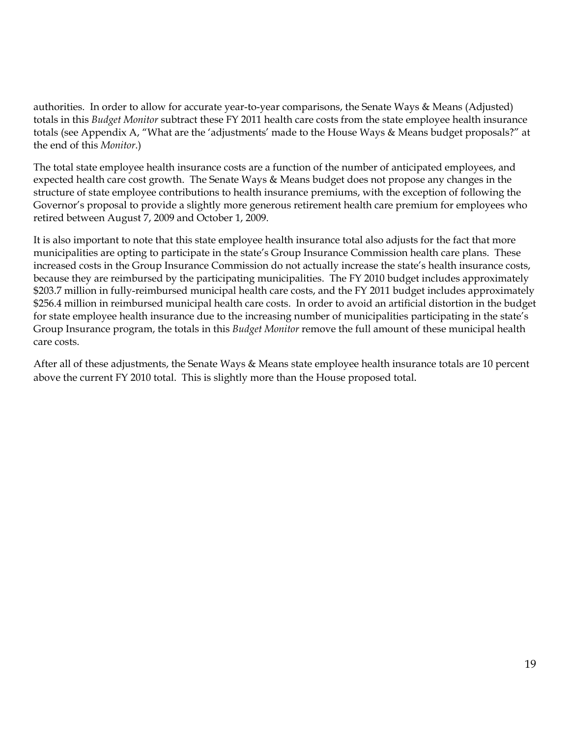authorities. In order to allow for accurate year-to-year comparisons, the Senate Ways & Means (Adjusted) totals in this *Budget Monitor* subtract these FY 2011 health care costs from the state employee health insurance totals (see Appendix A, "What are the 'adjustments' made to the House Ways & Means budget proposals?" at the end of this *Monitor*.)

The total state employee health insurance costs are a function of the number of anticipated employees, and expected health care cost growth. The Senate Ways & Means budget does not propose any changes in the structure of state employee contributions to health insurance premiums, with the exception of following the Governor's proposal to provide a slightly more generous retirement health care premium for employees who retired between August 7, 2009 and October 1, 2009.

It is also important to note that this state employee health insurance total also adjusts for the fact that more municipalities are opting to participate in the state's Group Insurance Commission health care plans. These increased costs in the Group Insurance Commission do not actually increase the state's health insurance costs, because they are reimbursed by the participating municipalities. The FY 2010 budget includes approximately \$203.7 million in fully-reimbursed municipal health care costs, and the FY 2011 budget includes approximately \$256.4 million in reimbursed municipal health care costs. In order to avoid an artificial distortion in the budget for state employee health insurance due to the increasing number of municipalities participating in the state's Group Insurance program, the totals in this *Budget Monitor* remove the full amount of these municipal health care costs.

After all of these adjustments, the Senate Ways & Means state employee health insurance totals are 10 percent above the current FY 2010 total. This is slightly more than the House proposed total.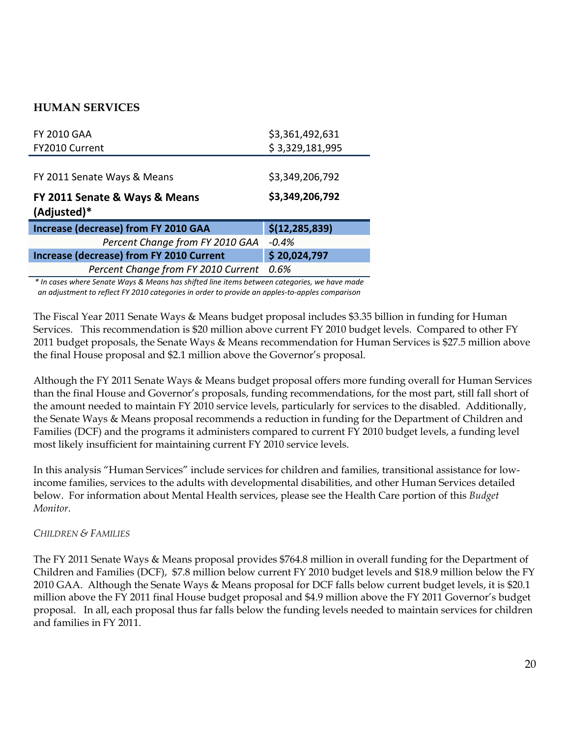# **HUMAN SERVICES**

| <b>FY 2010 GAA</b>                                         | \$3,361,492,631  |
|------------------------------------------------------------|------------------|
| FY2010 Current                                             | \$3,329,181,995  |
|                                                            |                  |
| FY 2011 Senate Ways & Means                                | \$3,349,206,792  |
| FY 2011 Senate & Ways & Means                              | \$3,349,206,792  |
|                                                            |                  |
| (Adjusted)*<br><b>Increase (decrease) from FY 2010 GAA</b> | \$(12, 285, 839) |
| Percent Change from FY 2010 GAA                            | $-0.4%$          |
| <b>Increase (decrease) from FY 2010 Current</b>            | \$20,024,797     |

*\* In cases where Senate Ways & Means has shifted line items between categories, we have made an adjustment to reflect FY 2010 categories in order to provide an apples‐to‐apples comparison*

The Fiscal Year 2011 Senate Ways & Means budget proposal includes \$3.35 billion in funding for Human Services. This recommendation is \$20 million above current FY 2010 budget levels. Compared to other FY 2011 budget proposals, the Senate Ways & Means recommendation for Human Services is \$27.5 million above the final House proposal and \$2.1 million above the Governor's proposal.

Although the FY 2011 Senate Ways & Means budget proposal offers more funding overall for Human Services than the final House and Governor's proposals, funding recommendations, for the most part, still fall short of the amount needed to maintain FY 2010 service levels, particularly for services to the disabled. Additionally, the Senate Ways & Means proposal recommends a reduction in funding for the Department of Children and Families (DCF) and the programs it administers compared to current FY 2010 budget levels, a funding level most likely insufficient for maintaining current FY 2010 service levels.

In this analysis "Human Services" include services for children and families, transitional assistance for lowincome families, services to the adults with developmental disabilities, and other Human Services detailed below. For information about Mental Health services, please see the Health Care portion of this *Budget Monitor*.

# *CHILDREN & FAMILIES*

The FY 2011 Senate Ways & Means proposal provides \$764.8 million in overall funding for the Department of Children and Families (DCF), \$7.8 million below current FY 2010 budget levels and \$18.9 million below the FY 2010 GAA. Although the Senate Ways & Means proposal for DCF falls below current budget levels, it is \$20.1 million above the FY 2011 final House budget proposal and \$4.9 million above the FY 2011 Governor's budget proposal. In all, each proposal thus far falls below the funding levels needed to maintain services for children and families in FY 2011.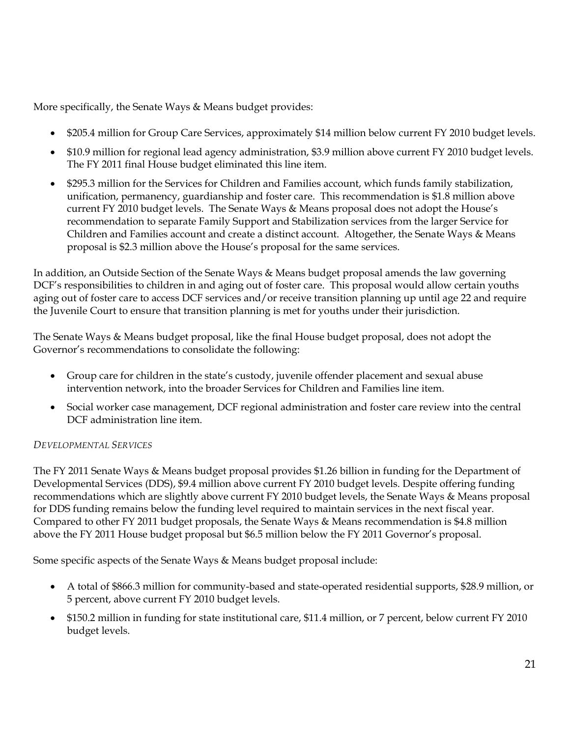More specifically, the Senate Ways & Means budget provides:

- \$205.4 million for Group Care Services, approximately \$14 million below current FY 2010 budget levels.
- \$10.9 million for regional lead agency administration, \$3.9 million above current FY 2010 budget levels. The FY 2011 final House budget eliminated this line item.
- \$295.3 million for the Services for Children and Families account, which funds family stabilization, unification, permanency, guardianship and foster care. This recommendation is \$1.8 million above current FY 2010 budget levels. The Senate Ways & Means proposal does not adopt the House's recommendation to separate Family Support and Stabilization services from the larger Service for Children and Families account and create a distinct account. Altogether, the Senate Ways & Means proposal is \$2.3 million above the House's proposal for the same services.

In addition, an Outside Section of the Senate Ways & Means budget proposal amends the law governing DCF's responsibilities to children in and aging out of foster care. This proposal would allow certain youths aging out of foster care to access DCF services and/or receive transition planning up until age 22 and require the Juvenile Court to ensure that transition planning is met for youths under their jurisdiction.

The Senate Ways & Means budget proposal, like the final House budget proposal, does not adopt the Governor's recommendations to consolidate the following:

- Group care for children in the state's custody, juvenile offender placement and sexual abuse intervention network, into the broader Services for Children and Families line item.
- Social worker case management, DCF regional administration and foster care review into the central DCF administration line item.

# *DEVELOPMENTAL SERVICES*

The FY 2011 Senate Ways & Means budget proposal provides \$1.26 billion in funding for the Department of Developmental Services (DDS), \$9.4 million above current FY 2010 budget levels. Despite offering funding recommendations which are slightly above current FY 2010 budget levels, the Senate Ways & Means proposal for DDS funding remains below the funding level required to maintain services in the next fiscal year. Compared to other FY 2011 budget proposals, the Senate Ways & Means recommendation is \$4.8 million above the FY 2011 House budget proposal but \$6.5 million below the FY 2011 Governor's proposal.

Some specific aspects of the Senate Ways & Means budget proposal include:

- A total of \$866.3 million for community-based and state-operated residential supports, \$28.9 million, or 5 percent, above current FY 2010 budget levels.
- \$150.2 million in funding for state institutional care, \$11.4 million, or 7 percent, below current FY 2010 budget levels.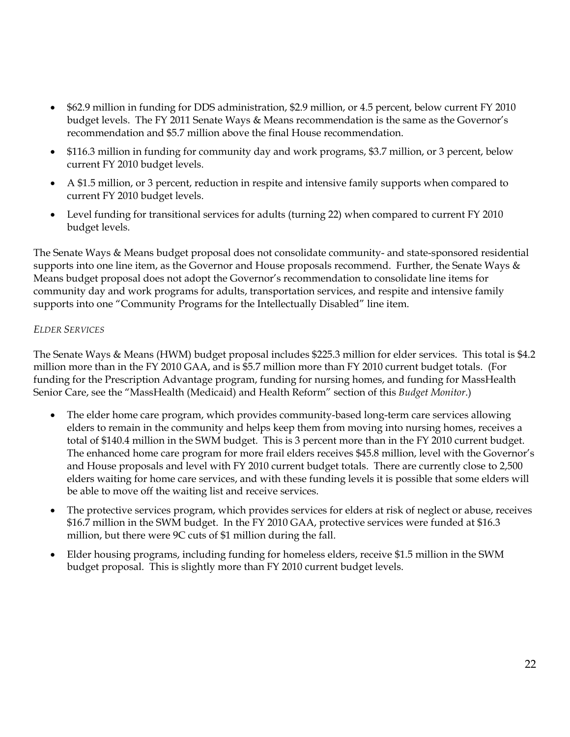- \$62.9 million in funding for DDS administration, \$2.9 million, or 4.5 percent, below current FY 2010 budget levels. The FY 2011 Senate Ways & Means recommendation is the same as the Governor's recommendation and \$5.7 million above the final House recommendation.
- \$116.3 million in funding for community day and work programs, \$3.7 million, or 3 percent, below current FY 2010 budget levels.
- A \$1.5 million, or 3 percent, reduction in respite and intensive family supports when compared to current FY 2010 budget levels.
- Level funding for transitional services for adults (turning 22) when compared to current FY 2010 budget levels.

The Senate Ways & Means budget proposal does not consolidate community- and state-sponsored residential supports into one line item, as the Governor and House proposals recommend. Further, the Senate Ways & Means budget proposal does not adopt the Governor's recommendation to consolidate line items for community day and work programs for adults, transportation services, and respite and intensive family supports into one "Community Programs for the Intellectually Disabled" line item.

# *ELDER SERVICES*

The Senate Ways & Means (HWM) budget proposal includes \$225.3 million for elder services. This total is \$4.2 million more than in the FY 2010 GAA, and is \$5.7 million more than FY 2010 current budget totals. (For funding for the Prescription Advantage program, funding for nursing homes, and funding for MassHealth Senior Care, see the "MassHealth (Medicaid) and Health Reform" section of this *Budget Monitor*.)

- The elder home care program, which provides community-based long-term care services allowing elders to remain in the community and helps keep them from moving into nursing homes, receives a total of \$140.4 million in the SWM budget. This is 3 percent more than in the FY 2010 current budget. The enhanced home care program for more frail elders receives \$45.8 million, level with the Governor's and House proposals and level with FY 2010 current budget totals. There are currently close to 2,500 elders waiting for home care services, and with these funding levels it is possible that some elders will be able to move off the waiting list and receive services.
- The protective services program, which provides services for elders at risk of neglect or abuse, receives \$16.7 million in the SWM budget. In the FY 2010 GAA, protective services were funded at \$16.3 million, but there were 9C cuts of \$1 million during the fall.
- Elder housing programs, including funding for homeless elders, receive \$1.5 million in the SWM budget proposal. This is slightly more than FY 2010 current budget levels.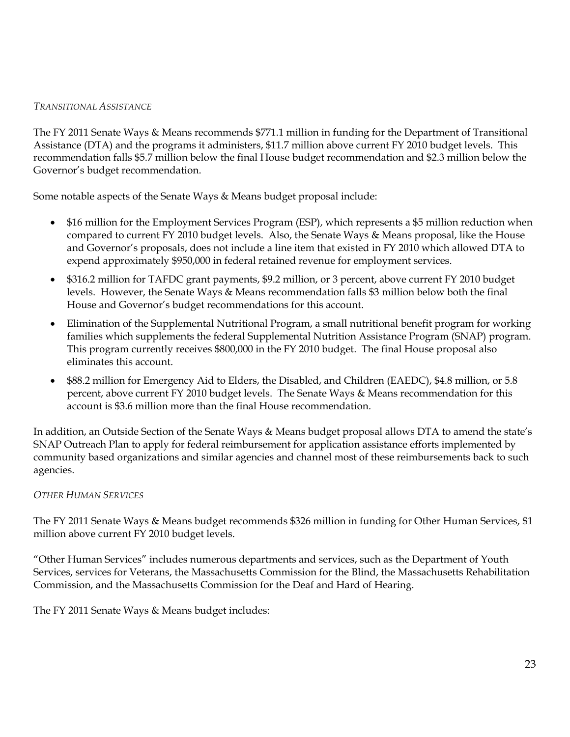### *TRANSITIONAL ASSISTANCE*

The FY 2011 Senate Ways & Means recommends \$771.1 million in funding for the Department of Transitional Assistance (DTA) and the programs it administers, \$11.7 million above current FY 2010 budget levels. This recommendation falls \$5.7 million below the final House budget recommendation and \$2.3 million below the Governor's budget recommendation.

Some notable aspects of the Senate Ways & Means budget proposal include:

- \$16 million for the Employment Services Program (ESP), which represents a \$5 million reduction when compared to current FY 2010 budget levels. Also, the Senate Ways & Means proposal, like the House and Governor's proposals, does not include a line item that existed in FY 2010 which allowed DTA to expend approximately \$950,000 in federal retained revenue for employment services.
- \$316.2 million for TAFDC grant payments, \$9.2 million, or 3 percent, above current FY 2010 budget levels. However, the Senate Ways & Means recommendation falls \$3 million below both the final House and Governor's budget recommendations for this account.
- Elimination of the Supplemental Nutritional Program, a small nutritional benefit program for working families which supplements the federal Supplemental Nutrition Assistance Program (SNAP) program. This program currently receives \$800,000 in the FY 2010 budget. The final House proposal also eliminates this account.
- \$88.2 million for Emergency Aid to Elders, the Disabled, and Children (EAEDC), \$4.8 million, or 5.8 percent, above current FY 2010 budget levels. The Senate Ways & Means recommendation for this account is \$3.6 million more than the final House recommendation.

In addition, an Outside Section of the Senate Ways & Means budget proposal allows DTA to amend the state's SNAP Outreach Plan to apply for federal reimbursement for application assistance efforts implemented by community based organizations and similar agencies and channel most of these reimbursements back to such agencies.

# *OTHER HUMAN SERVICES*

The FY 2011 Senate Ways & Means budget recommends \$326 million in funding for Other Human Services, \$1 million above current FY 2010 budget levels.

"Other Human Services" includes numerous departments and services, such as the Department of Youth Services, services for Veterans, the Massachusetts Commission for the Blind, the Massachusetts Rehabilitation Commission, and the Massachusetts Commission for the Deaf and Hard of Hearing.

The FY 2011 Senate Ways & Means budget includes: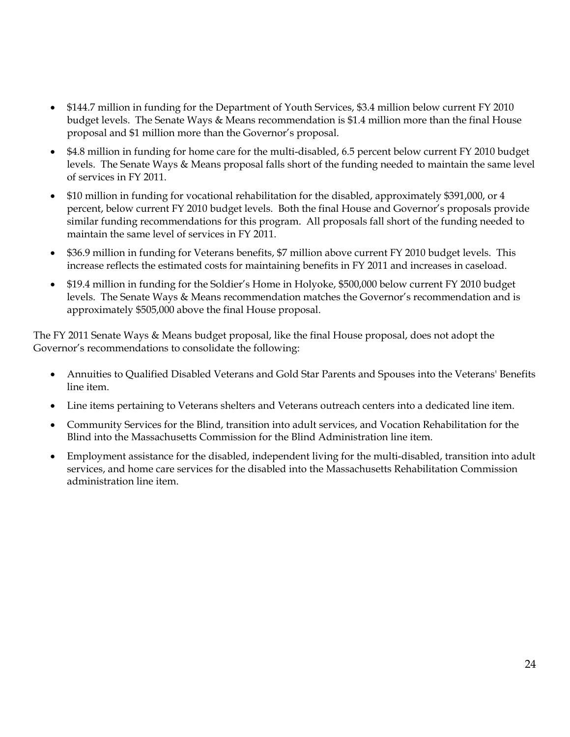- \$144.7 million in funding for the Department of Youth Services, \$3.4 million below current FY 2010 budget levels. The Senate Ways & Means recommendation is \$1.4 million more than the final House proposal and \$1 million more than the Governor's proposal.
- \$4.8 million in funding for home care for the multi-disabled, 6.5 percent below current FY 2010 budget levels. The Senate Ways & Means proposal falls short of the funding needed to maintain the same level of services in FY 2011.
- \$10 million in funding for vocational rehabilitation for the disabled, approximately \$391,000, or 4 percent, below current FY 2010 budget levels. Both the final House and Governor's proposals provide similar funding recommendations for this program. All proposals fall short of the funding needed to maintain the same level of services in FY 2011.
- \$36.9 million in funding for Veterans benefits, \$7 million above current FY 2010 budget levels. This increase reflects the estimated costs for maintaining benefits in FY 2011 and increases in caseload.
- \$19.4 million in funding for the Soldier's Home in Holyoke, \$500,000 below current FY 2010 budget levels. The Senate Ways & Means recommendation matches the Governor's recommendation and is approximately \$505,000 above the final House proposal.

The FY 2011 Senate Ways & Means budget proposal, like the final House proposal, does not adopt the Governor's recommendations to consolidate the following:

- Annuities to Qualified Disabled Veterans and Gold Star Parents and Spouses into the Veterans' Benefits line item.
- Line items pertaining to Veterans shelters and Veterans outreach centers into a dedicated line item.
- Community Services for the Blind, transition into adult services, and Vocation Rehabilitation for the Blind into the Massachusetts Commission for the Blind Administration line item.
- Employment assistance for the disabled, independent living for the multi-disabled, transition into adult services, and home care services for the disabled into the Massachusetts Rehabilitation Commission administration line item.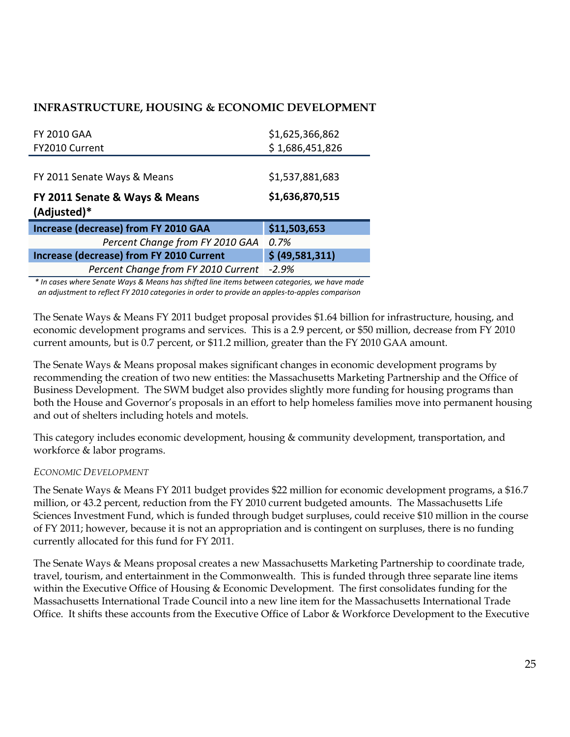# **INFRASTRUCTURE, HOUSING & ECONOMIC DEVELOPMENT**

| <b>FY 2010 GAA</b>                              | \$1,625,366,862 |
|-------------------------------------------------|-----------------|
| FY2010 Current                                  | \$1,686,451,826 |
|                                                 |                 |
| FY 2011 Senate Ways & Means                     | \$1,537,881,683 |
| FY 2011 Senate & Ways & Means<br>(Adjusted)*    | \$1,636,870,515 |
| <b>Increase (decrease) from FY 2010 GAA</b>     | \$11,503,653    |
|                                                 |                 |
| Percent Change from FY 2010 GAA                 | 0.7%            |
| <b>Increase (decrease) from FY 2010 Current</b> | \$ (49,581,311) |

*\* In cases where Senate Ways & Means has shifted line items between categories, we have made an adjustment to reflect FY 2010 categories in order to provide an apples‐to‐apples comparison*

The Senate Ways & Means FY 2011 budget proposal provides \$1.64 billion for infrastructure, housing, and economic development programs and services. This is a 2.9 percent, or \$50 million, decrease from FY 2010 current amounts, but is 0.7 percent, or \$11.2 million, greater than the FY 2010 GAA amount.

The Senate Ways & Means proposal makes significant changes in economic development programs by recommending the creation of two new entities: the Massachusetts Marketing Partnership and the Office of Business Development. The SWM budget also provides slightly more funding for housing programs than both the House and Governor's proposals in an effort to help homeless families move into permanent housing and out of shelters including hotels and motels.

This category includes economic development, housing & community development, transportation, and workforce & labor programs.

### *ECONOMIC DEVELOPMENT*

The Senate Ways & Means FY 2011 budget provides \$22 million for economic development programs, a \$16.7 million, or 43.2 percent, reduction from the FY 2010 current budgeted amounts. The Massachusetts Life Sciences Investment Fund, which is funded through budget surpluses, could receive \$10 million in the course of FY 2011; however, because it is not an appropriation and is contingent on surpluses, there is no funding currently allocated for this fund for FY 2011.

The Senate Ways & Means proposal creates a new Massachusetts Marketing Partnership to coordinate trade, travel, tourism, and entertainment in the Commonwealth. This is funded through three separate line items within the Executive Office of Housing & Economic Development. The first consolidates funding for the Massachusetts International Trade Council into a new line item for the Massachusetts International Trade Office. It shifts these accounts from the Executive Office of Labor & Workforce Development to the Executive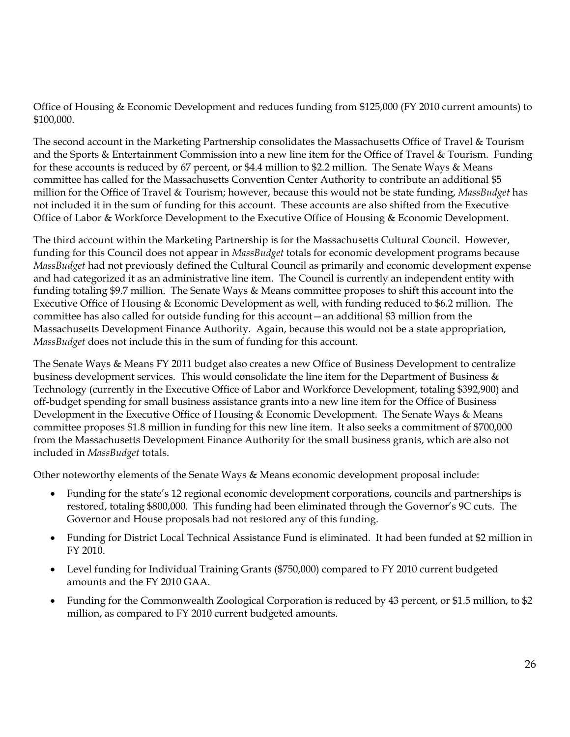Office of Housing & Economic Development and reduces funding from \$125,000 (FY 2010 current amounts) to \$100,000.

The second account in the Marketing Partnership consolidates the Massachusetts Office of Travel & Tourism and the Sports & Entertainment Commission into a new line item for the Office of Travel & Tourism. Funding for these accounts is reduced by 67 percent, or \$4.4 million to \$2.2 million. The Senate Ways & Means committee has called for the Massachusetts Convention Center Authority to contribute an additional \$5 million for the Office of Travel & Tourism; however, because this would not be state funding, *MassBudget* has not included it in the sum of funding for this account. These accounts are also shifted from the Executive Office of Labor & Workforce Development to the Executive Office of Housing & Economic Development.

The third account within the Marketing Partnership is for the Massachusetts Cultural Council. However, funding for this Council does not appear in *MassBudget* totals for economic development programs because *MassBudget* had not previously defined the Cultural Council as primarily and economic development expense and had categorized it as an administrative line item. The Council is currently an independent entity with funding totaling \$9.7 million. The Senate Ways & Means committee proposes to shift this account into the Executive Office of Housing & Economic Development as well, with funding reduced to \$6.2 million. The committee has also called for outside funding for this account—an additional \$3 million from the Massachusetts Development Finance Authority. Again, because this would not be a state appropriation, *MassBudget* does not include this in the sum of funding for this account.

The Senate Ways & Means FY 2011 budget also creates a new Office of Business Development to centralize business development services. This would consolidate the line item for the Department of Business & Technology (currently in the Executive Office of Labor and Workforce Development, totaling \$392,900) and off-budget spending for small business assistance grants into a new line item for the Office of Business Development in the Executive Office of Housing & Economic Development. The Senate Ways & Means committee proposes \$1.8 million in funding for this new line item. It also seeks a commitment of \$700,000 from the Massachusetts Development Finance Authority for the small business grants, which are also not included in *MassBudget* totals.

Other noteworthy elements of the Senate Ways & Means economic development proposal include:

- Funding for the state's 12 regional economic development corporations, councils and partnerships is restored, totaling \$800,000. This funding had been eliminated through the Governor's 9C cuts. The Governor and House proposals had not restored any of this funding.
- Funding for District Local Technical Assistance Fund is eliminated. It had been funded at \$2 million in FY 2010.
- Level funding for Individual Training Grants (\$750,000) compared to FY 2010 current budgeted amounts and the FY 2010 GAA.
- Funding for the Commonwealth Zoological Corporation is reduced by 43 percent, or \$1.5 million, to \$2 million, as compared to FY 2010 current budgeted amounts.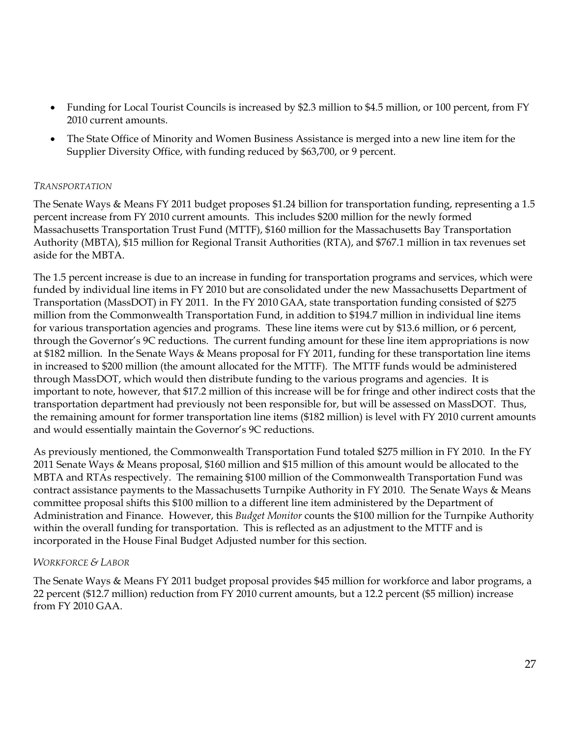- Funding for Local Tourist Councils is increased by \$2.3 million to \$4.5 million, or 100 percent, from FY 2010 current amounts.
- The State Office of Minority and Women Business Assistance is merged into a new line item for the Supplier Diversity Office, with funding reduced by \$63,700, or 9 percent.

### *TRANSPORTATION*

The Senate Ways & Means FY 2011 budget proposes \$1.24 billion for transportation funding, representing a 1.5 percent increase from FY 2010 current amounts. This includes \$200 million for the newly formed Massachusetts Transportation Trust Fund (MTTF), \$160 million for the Massachusetts Bay Transportation Authority (MBTA), \$15 million for Regional Transit Authorities (RTA), and \$767.1 million in tax revenues set aside for the MBTA.

The 1.5 percent increase is due to an increase in funding for transportation programs and services, which were funded by individual line items in FY 2010 but are consolidated under the new Massachusetts Department of Transportation (MassDOT) in FY 2011. In the FY 2010 GAA, state transportation funding consisted of \$275 million from the Commonwealth Transportation Fund, in addition to \$194.7 million in individual line items for various transportation agencies and programs. These line items were cut by \$13.6 million, or 6 percent, through the Governor's 9C reductions. The current funding amount for these line item appropriations is now at \$182 million. In the Senate Ways & Means proposal for FY 2011, funding for these transportation line items in increased to \$200 million (the amount allocated for the MTTF). The MTTF funds would be administered through MassDOT, which would then distribute funding to the various programs and agencies. It is important to note, however, that \$17.2 million of this increase will be for fringe and other indirect costs that the transportation department had previously not been responsible for, but will be assessed on MassDOT. Thus, the remaining amount for former transportation line items (\$182 million) is level with FY 2010 current amounts and would essentially maintain the Governor's 9C reductions.

As previously mentioned, the Commonwealth Transportation Fund totaled \$275 million in FY 2010. In the FY 2011 Senate Ways & Means proposal, \$160 million and \$15 million of this amount would be allocated to the MBTA and RTAs respectively. The remaining \$100 million of the Commonwealth Transportation Fund was contract assistance payments to the Massachusetts Turnpike Authority in FY 2010. The Senate Ways & Means committee proposal shifts this \$100 million to a different line item administered by the Department of Administration and Finance. However, this *Budget Monitor* counts the \$100 million for the Turnpike Authority within the overall funding for transportation. This is reflected as an adjustment to the MTTF and is incorporated in the House Final Budget Adjusted number for this section.

# *WORKFORCE & LABOR*

The Senate Ways & Means FY 2011 budget proposal provides \$45 million for workforce and labor programs, a 22 percent (\$12.7 million) reduction from FY 2010 current amounts, but a 12.2 percent (\$5 million) increase from FY 2010 GAA.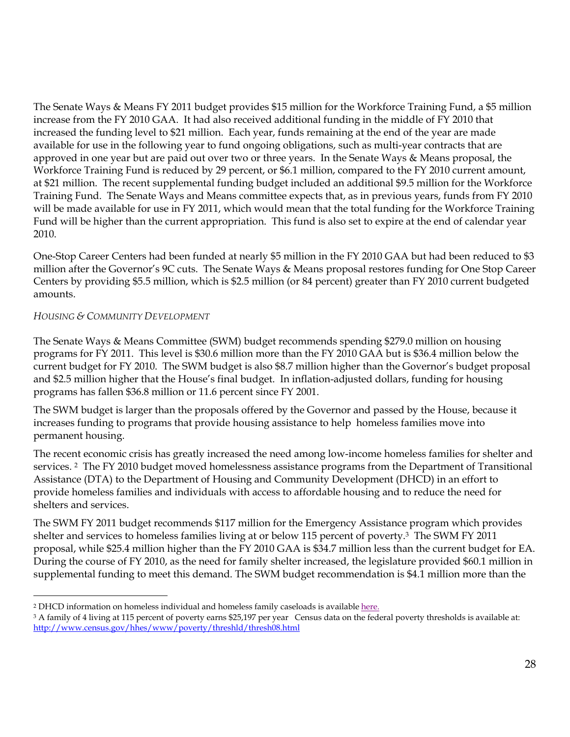The Senate Ways & Means FY 2011 budget provides \$15 million for the Workforce Training Fund, a \$5 million increase from the FY 2010 GAA. It had also received additional funding in the middle of FY 2010 that increased the funding level to \$21 million. Each year, funds remaining at the end of the year are made available for use in the following year to fund ongoing obligations, such as multi-year contracts that are approved in one year but are paid out over two or three years. In the Senate Ways & Means proposal, the Workforce Training Fund is reduced by 29 percent, or \$6.1 million, compared to the FY 2010 current amount, at \$21 million. The recent supplemental funding budget included an additional \$9.5 million for the Workforce Training Fund. The Senate Ways and Means committee expects that, as in previous years, funds from FY 2010 will be made available for use in FY 2011, which would mean that the total funding for the Workforce Training Fund will be higher than the current appropriation. This fund is also set to expire at the end of calendar year 2010.

One-Stop Career Centers had been funded at nearly \$5 million in the FY 2010 GAA but had been reduced to \$3 million after the Governor's 9C cuts. The Senate Ways & Means proposal restores funding for One Stop Career Centers by providing \$5.5 million, which is \$2.5 million (or 84 percent) greater than FY 2010 current budgeted amounts.

# *HOUSING & COMMUNITY DEVELOPMENT*

The Senate Ways & Means Committee (SWM) budget recommends spending \$279.0 million on housing programs for FY 2011. This level is \$30.6 million more than the FY 2010 GAA but is \$36.4 million below the current budget for FY 2010. The SWM budget is also \$8.7 million higher than the Governor's budget proposal and \$2.5 million higher that the House's final budget. In inflation-adjusted dollars, funding for housing programs has fallen \$36.8 million or 11.6 percent since FY 2001.

The SWM budget is larger than the proposals offered by the Governor and passed by the House, because it increases funding to programs that provide housing assistance to help homeless families move into permanent housing.

The recent economic crisis has greatly increased the need among low-income homeless families for shelter and services. <sup>2</sup> The FY 2010 budget moved homelessness assistance programs from the Department of Transitional Assistance (DTA) to the Department of Housing and Community Development (DHCD) in an effort to provide homeless families and individuals with access to affordable housing and to reduce the need for shelters and services.

The SWM FY 2011 budget recommends \$117 million for the Emergency Assistance program which provides shelter and services to homeless families living at or below 115 percent of poverty.3 The SWM FY 2011 proposal, while \$25.4 million higher than the FY 2010 GAA is \$34.7 million less than the current budget for EA. During the course of FY 2010, as the need for family shelter increased, the legislature provided \$60.1 million in supplemental funding to meet this demand. The SWM budget recommendation is \$4.1 million more than the

 $\overline{a}$ 2 DHCD information on homeless individual and homeless family caseloads is available [here.](http://www.mass.gov/Ehed/docs/dhcd/hs/homelessnumberchart.pdf)

<sup>3</sup> A family of 4 living at 115 percent of poverty earns \$25,197 per year Census data on the federal poverty thresholds is available at: http://www.census.gov/hhes/www/poverty/threshld/thresh08.html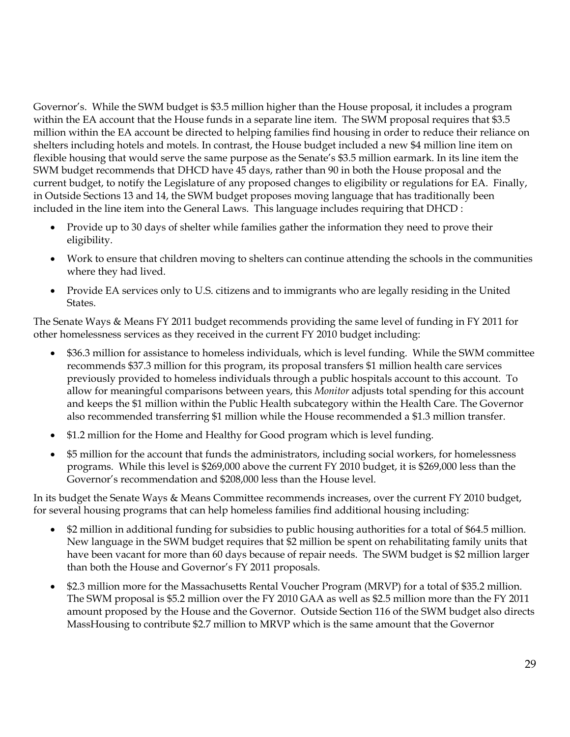Governor's. While the SWM budget is \$3.5 million higher than the House proposal, it includes a program within the EA account that the House funds in a separate line item. The SWM proposal requires that \$3.5 million within the EA account be directed to helping families find housing in order to reduce their reliance on shelters including hotels and motels. In contrast, the House budget included a new \$4 million line item on flexible housing that would serve the same purpose as the Senate's \$3.5 million earmark. In its line item the SWM budget recommends that DHCD have 45 days, rather than 90 in both the House proposal and the current budget, to notify the Legislature of any proposed changes to eligibility or regulations for EA. Finally, in Outside Sections 13 and 14, the SWM budget proposes moving language that has traditionally been included in the line item into the General Laws. This language includes requiring that DHCD :

- Provide up to 30 days of shelter while families gather the information they need to prove their eligibility.
- Work to ensure that children moving to shelters can continue attending the schools in the communities where they had lived.
- Provide EA services only to U.S. citizens and to immigrants who are legally residing in the United States.

The Senate Ways & Means FY 2011 budget recommends providing the same level of funding in FY 2011 for other homelessness services as they received in the current FY 2010 budget including:

- \$36.3 million for assistance to homeless individuals, which is level funding. While the SWM committee recommends \$37.3 million for this program, its proposal transfers \$1 million health care services previously provided to homeless individuals through a public hospitals account to this account. To allow for meaningful comparisons between years, this *Monitor* adjusts total spending for this account and keeps the \$1 million within the Public Health subcategory within the Health Care. The Governor also recommended transferring \$1 million while the House recommended a \$1.3 million transfer.
- \$1.2 million for the Home and Healthy for Good program which is level funding.
- \$5 million for the account that funds the administrators, including social workers, for homelessness programs. While this level is \$269,000 above the current FY 2010 budget, it is \$269,000 less than the Governor's recommendation and \$208,000 less than the House level.

In its budget the Senate Ways & Means Committee recommends increases, over the current FY 2010 budget, for several housing programs that can help homeless families find additional housing including:

- \$2 million in additional funding for subsidies to public housing authorities for a total of \$64.5 million. New language in the SWM budget requires that \$2 million be spent on rehabilitating family units that have been vacant for more than 60 days because of repair needs. The SWM budget is \$2 million larger than both the House and Governor's FY 2011 proposals.
- \$2.3 million more for the Massachusetts Rental Voucher Program (MRVP) for a total of \$35.2 million. The SWM proposal is \$5.2 million over the FY 2010 GAA as well as \$2.5 million more than the FY 2011 amount proposed by the House and the Governor. Outside Section 116 of the SWM budget also directs MassHousing to contribute \$2.7 million to MRVP which is the same amount that the Governor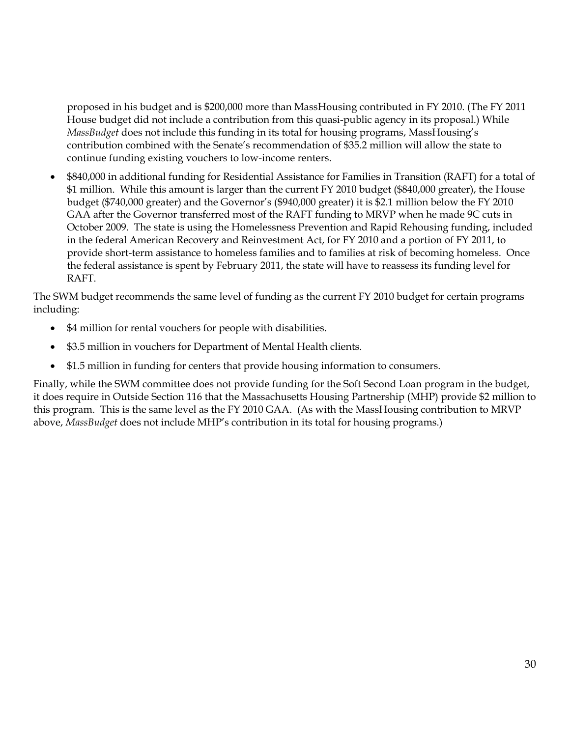proposed in his budget and is \$200,000 more than MassHousing contributed in FY 2010. (The FY 2011 House budget did not include a contribution from this quasi-public agency in its proposal.) While *MassBudget* does not include this funding in its total for housing programs, MassHousing's contribution combined with the Senate's recommendation of \$35.2 million will allow the state to continue funding existing vouchers to low-income renters.

 \$840,000 in additional funding for Residential Assistance for Families in Transition (RAFT) for a total of \$1 million. While this amount is larger than the current FY 2010 budget (\$840,000 greater), the House budget (\$740,000 greater) and the Governor's (\$940,000 greater) it is \$2.1 million below the FY 2010 GAA after the Governor transferred most of the RAFT funding to MRVP when he made 9C cuts in October 2009. The state is using the Homelessness Prevention and Rapid Rehousing funding, included in the federal American Recovery and Reinvestment Act, for FY 2010 and a portion of FY 2011, to provide short-term assistance to homeless families and to families at risk of becoming homeless. Once the federal assistance is spent by February 2011, the state will have to reassess its funding level for RAFT.

The SWM budget recommends the same level of funding as the current FY 2010 budget for certain programs including:

- \$4 million for rental vouchers for people with disabilities.
- \$3.5 million in vouchers for Department of Mental Health clients.
- \$1.5 million in funding for centers that provide housing information to consumers.

Finally, while the SWM committee does not provide funding for the Soft Second Loan program in the budget, it does require in Outside Section 116 that the Massachusetts Housing Partnership (MHP) provide \$2 million to this program. This is the same level as the FY 2010 GAA. (As with the MassHousing contribution to MRVP above, *MassBudget* does not include MHP's contribution in its total for housing programs.)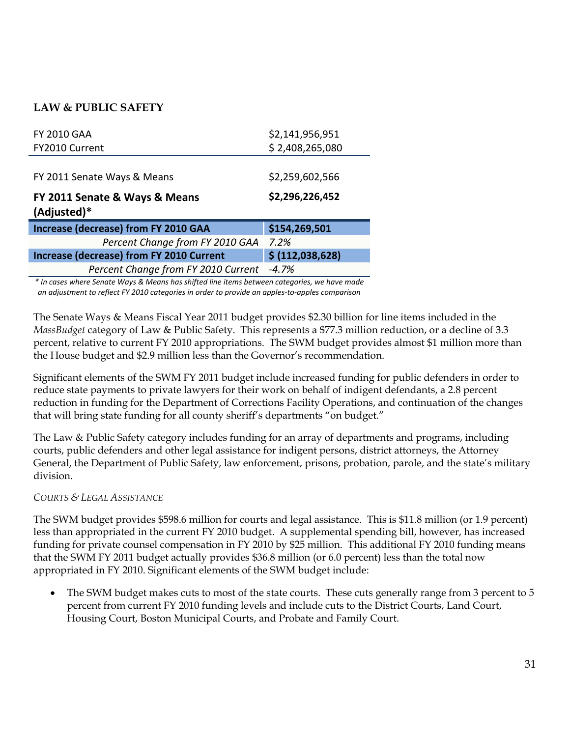# **LAW & PUBLIC SAFETY**

| <b>FY 2010 GAA</b>                              | \$2,141,956,951  |
|-------------------------------------------------|------------------|
| FY2010 Current                                  | \$2,408,265,080  |
|                                                 |                  |
| FY 2011 Senate Ways & Means                     | \$2,259,602,566  |
| FY 2011 Senate & Ways & Means                   | \$2,296,226,452  |
| (Adjusted)*                                     |                  |
| <b>Increase (decrease) from FY 2010 GAA</b>     | \$154,269,501    |
| Percent Change from FY 2010 GAA                 | 7.2%             |
| <b>Increase (decrease) from FY 2010 Current</b> | \$ (112,038,628) |

*\* In cases where Senate Ways & Means has shifted line items between categories, we have made an adjustment to reflect FY 2010 categories in order to provide an apples‐to‐apples comparison*

The Senate Ways & Means Fiscal Year 2011 budget provides \$2.30 billion for line items included in the *MassBudget* category of Law & Public Safety. This represents a \$77.3 million reduction, or a decline of 3.3 percent, relative to current FY 2010 appropriations. The SWM budget provides almost \$1 million more than the House budget and \$2.9 million less than the Governor's recommendation.

Significant elements of the SWM FY 2011 budget include increased funding for public defenders in order to reduce state payments to private lawyers for their work on behalf of indigent defendants, a 2.8 percent reduction in funding for the Department of Corrections Facility Operations, and continuation of the changes that will bring state funding for all county sheriff's departments "on budget."

The Law & Public Safety category includes funding for an array of departments and programs, including courts, public defenders and other legal assistance for indigent persons, district attorneys, the Attorney General, the Department of Public Safety, law enforcement, prisons, probation, parole, and the state's military division.

### *COURTS & LEGAL ASSISTANCE*

The SWM budget provides \$598.6 million for courts and legal assistance. This is \$11.8 million (or 1.9 percent) less than appropriated in the current FY 2010 budget. A supplemental spending bill, however, has increased funding for private counsel compensation in FY 2010 by \$25 million. This additional FY 2010 funding means that the SWM FY 2011 budget actually provides \$36.8 million (or 6.0 percent) less than the total now appropriated in FY 2010. Significant elements of the SWM budget include:

 The SWM budget makes cuts to most of the state courts. These cuts generally range from 3 percent to 5 percent from current FY 2010 funding levels and include cuts to the District Courts, Land Court, Housing Court, Boston Municipal Courts, and Probate and Family Court.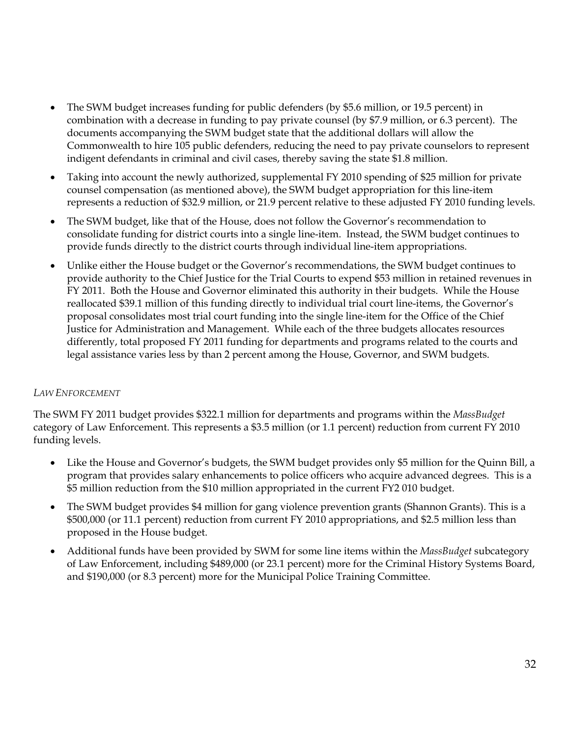- The SWM budget increases funding for public defenders (by \$5.6 million, or 19.5 percent) in combination with a decrease in funding to pay private counsel (by \$7.9 million, or 6.3 percent). The documents accompanying the SWM budget state that the additional dollars will allow the Commonwealth to hire 105 public defenders, reducing the need to pay private counselors to represent indigent defendants in criminal and civil cases, thereby saving the state \$1.8 million.
- Taking into account the newly authorized, supplemental FY 2010 spending of \$25 million for private counsel compensation (as mentioned above), the SWM budget appropriation for this line-item represents a reduction of \$32.9 million, or 21.9 percent relative to these adjusted FY 2010 funding levels.
- The SWM budget, like that of the House, does not follow the Governor's recommendation to consolidate funding for district courts into a single line-item. Instead, the SWM budget continues to provide funds directly to the district courts through individual line-item appropriations.
- Unlike either the House budget or the Governor's recommendations, the SWM budget continues to provide authority to the Chief Justice for the Trial Courts to expend \$53 million in retained revenues in FY 2011. Both the House and Governor eliminated this authority in their budgets. While the House reallocated \$39.1 million of this funding directly to individual trial court line-items, the Governor's proposal consolidates most trial court funding into the single line-item for the Office of the Chief Justice for Administration and Management. While each of the three budgets allocates resources differently, total proposed FY 2011 funding for departments and programs related to the courts and legal assistance varies less by than 2 percent among the House, Governor, and SWM budgets.

# *LAW ENFORCEMENT*

The SWM FY 2011 budget provides \$322.1 million for departments and programs within the *MassBudget*  category of Law Enforcement. This represents a \$3.5 million (or 1.1 percent) reduction from current FY 2010 funding levels.

- Like the House and Governor's budgets, the SWM budget provides only \$5 million for the Quinn Bill, a program that provides salary enhancements to police officers who acquire advanced degrees. This is a \$5 million reduction from the \$10 million appropriated in the current FY2 010 budget.
- The SWM budget provides \$4 million for gang violence prevention grants (Shannon Grants). This is a \$500,000 (or 11.1 percent) reduction from current FY 2010 appropriations, and \$2.5 million less than proposed in the House budget.
- Additional funds have been provided by SWM for some line items within the *MassBudget* subcategory of Law Enforcement, including \$489,000 (or 23.1 percent) more for the Criminal History Systems Board, and \$190,000 (or 8.3 percent) more for the Municipal Police Training Committee.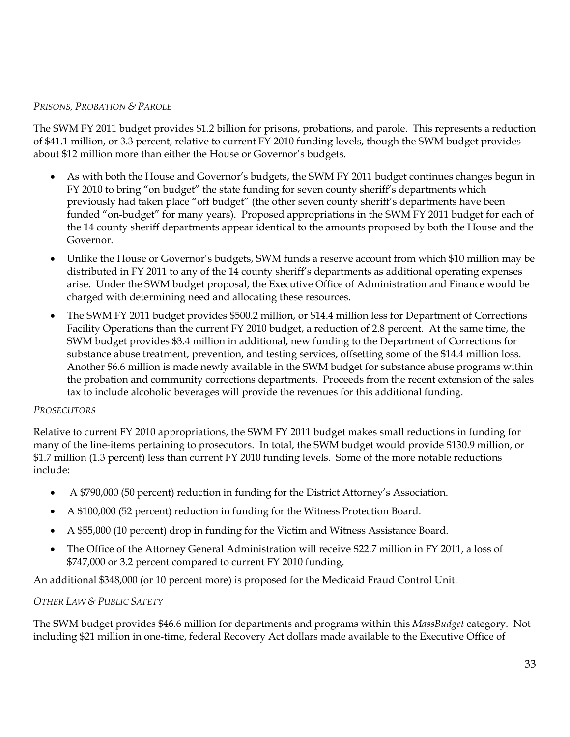### *PRISONS, PROBATION & PAROLE*

The SWM FY 2011 budget provides \$1.2 billion for prisons, probations, and parole. This represents a reduction of \$41.1 million, or 3.3 percent, relative to current FY 2010 funding levels, though the SWM budget provides about \$12 million more than either the House or Governor's budgets.

- As with both the House and Governor's budgets, the SWM FY 2011 budget continues changes begun in FY 2010 to bring "on budget" the state funding for seven county sheriff's departments which previously had taken place "off budget" (the other seven county sheriff's departments have been funded "on-budget" for many years). Proposed appropriations in the SWM FY 2011 budget for each of the 14 county sheriff departments appear identical to the amounts proposed by both the House and the Governor.
- Unlike the House or Governor's budgets, SWM funds a reserve account from which \$10 million may be distributed in FY 2011 to any of the 14 county sheriff's departments as additional operating expenses arise. Under the SWM budget proposal, the Executive Office of Administration and Finance would be charged with determining need and allocating these resources.
- The SWM FY 2011 budget provides \$500.2 million, or \$14.4 million less for Department of Corrections Facility Operations than the current FY 2010 budget, a reduction of 2.8 percent. At the same time, the SWM budget provides \$3.4 million in additional, new funding to the Department of Corrections for substance abuse treatment, prevention, and testing services, offsetting some of the \$14.4 million loss. Another \$6.6 million is made newly available in the SWM budget for substance abuse programs within the probation and community corrections departments. Proceeds from the recent extension of the sales tax to include alcoholic beverages will provide the revenues for this additional funding.

### *PROSECUTORS*

Relative to current FY 2010 appropriations, the SWM FY 2011 budget makes small reductions in funding for many of the line-items pertaining to prosecutors. In total, the SWM budget would provide \$130.9 million, or \$1.7 million (1.3 percent) less than current FY 2010 funding levels. Some of the more notable reductions include:

- A \$790,000 (50 percent) reduction in funding for the District Attorney's Association.
- A \$100,000 (52 percent) reduction in funding for the Witness Protection Board.
- A \$55,000 (10 percent) drop in funding for the Victim and Witness Assistance Board.
- The Office of the Attorney General Administration will receive \$22.7 million in FY 2011, a loss of \$747,000 or 3.2 percent compared to current FY 2010 funding.

An additional \$348,000 (or 10 percent more) is proposed for the Medicaid Fraud Control Unit.

# *OTHER LAW & PUBLIC SAFETY*

The SWM budget provides \$46.6 million for departments and programs within this *MassBudget* category. Not including \$21 million in one-time, federal Recovery Act dollars made available to the Executive Office of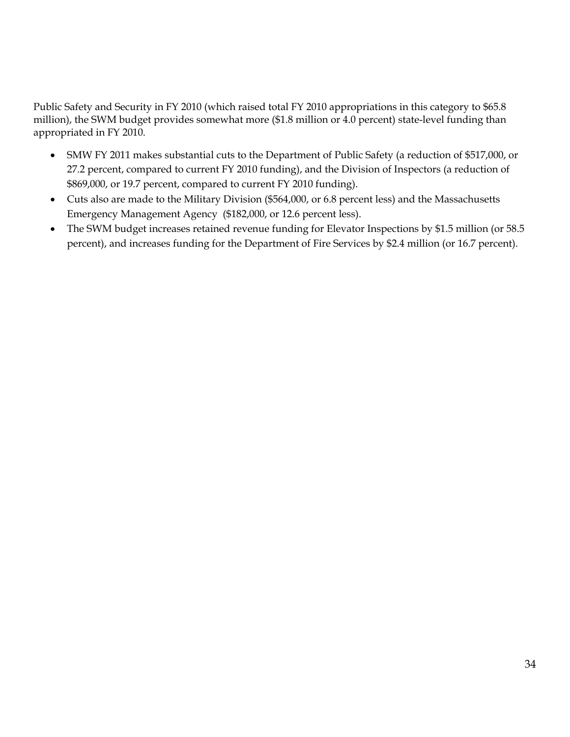Public Safety and Security in FY 2010 (which raised total FY 2010 appropriations in this category to \$65.8 million), the SWM budget provides somewhat more (\$1.8 million or 4.0 percent) state-level funding than appropriated in FY 2010.

- SMW FY 2011 makes substantial cuts to the Department of Public Safety (a reduction of \$517,000, or 27.2 percent, compared to current FY 2010 funding), and the Division of Inspectors (a reduction of \$869,000, or 19.7 percent, compared to current FY 2010 funding).
- Cuts also are made to the Military Division (\$564,000, or 6.8 percent less) and the Massachusetts Emergency Management Agency (\$182,000, or 12.6 percent less).
- The SWM budget increases retained revenue funding for Elevator Inspections by \$1.5 million (or 58.5 percent), and increases funding for the Department of Fire Services by \$2.4 million (or 16.7 percent).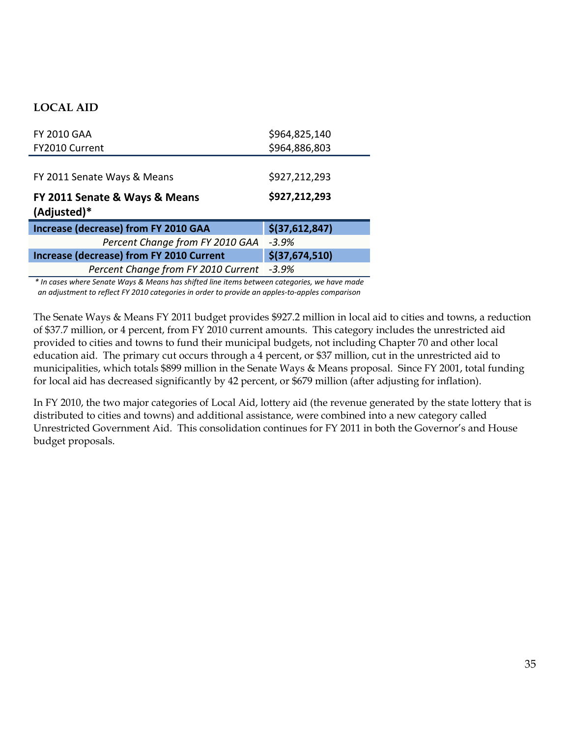# **LOCAL AID**

| <b>FY 2010 GAA</b>                              | \$964,825,140  |
|-------------------------------------------------|----------------|
| FY2010 Current                                  | \$964,886,803  |
|                                                 |                |
| FY 2011 Senate Ways & Means                     | \$927,212,293  |
| FY 2011 Senate & Ways & Means                   | \$927,212,293  |
| (Adjusted)*                                     |                |
| <b>Increase (decrease) from FY 2010 GAA</b>     | \$(37,612,847) |
| Percent Change from FY 2010 GAA                 | $-3.9%$        |
| <b>Increase (decrease) from FY 2010 Current</b> | \$(37,674,510) |

*\* In cases where Senate Ways & Means has shifted line items between categories, we have made an adjustment to reflect FY 2010 categories in order to provide an apples‐to‐apples comparison*

The Senate Ways & Means FY 2011 budget provides \$927.2 million in local aid to cities and towns, a reduction of \$37.7 million, or 4 percent, from FY 2010 current amounts. This category includes the unrestricted aid provided to cities and towns to fund their municipal budgets, not including Chapter 70 and other local education aid. The primary cut occurs through a 4 percent, or \$37 million, cut in the unrestricted aid to municipalities, which totals \$899 million in the Senate Ways & Means proposal. Since FY 2001, total funding for local aid has decreased significantly by 42 percent, or \$679 million (after adjusting for inflation).

In FY 2010, the two major categories of Local Aid, lottery aid (the revenue generated by the state lottery that is distributed to cities and towns) and additional assistance, were combined into a new category called Unrestricted Government Aid. This consolidation continues for FY 2011 in both the Governor's and House budget proposals.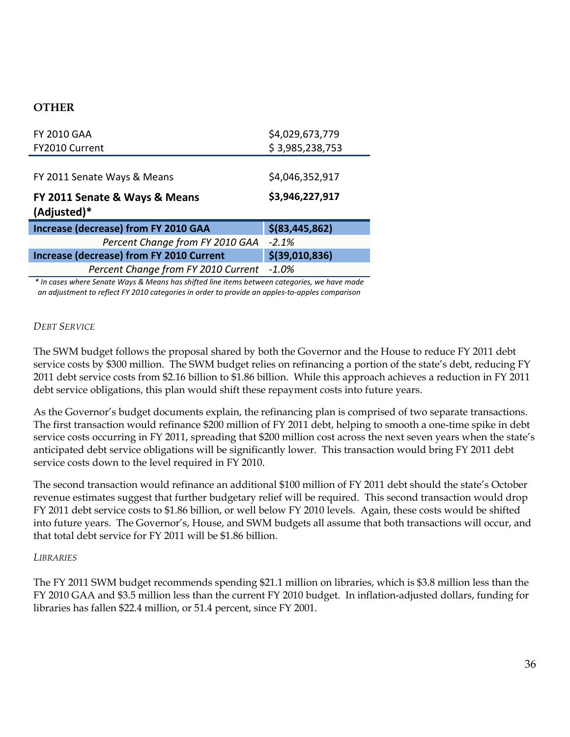# **OTHER**

| <b>FY 2010 GAA</b>                              | \$4,029,673,779  |
|-------------------------------------------------|------------------|
| FY2010 Current                                  | \$3,985,238,753  |
|                                                 |                  |
| FY 2011 Senate Ways & Means                     | \$4,046,352,917  |
| FY 2011 Senate & Ways & Means<br>(Adjusted)*    | \$3,946,227,917  |
| <b>Increase (decrease) from FY 2010 GAA</b>     | $$$ (83,445,862) |
| Percent Change from FY 2010 GAA                 | $-2.1%$          |
| <b>Increase (decrease) from FY 2010 Current</b> |                  |
|                                                 | $$$ (39,010,836) |

*\* In cases where Senate Ways & Means has shifted line items between categories, we have made an adjustment to reflect FY 2010 categories in order to provide an apples‐to‐apples comparison*

#### *DEBT SERVICE*

The SWM budget follows the proposal shared by both the Governor and the House to reduce FY 2011 debt service costs by \$300 million. The SWM budget relies on refinancing a portion of the state's debt, reducing FY 2011 debt service costs from \$2.16 billion to \$1.86 billion. While this approach achieves a reduction in FY 2011 debt service obligations, this plan would shift these repayment costs into future years.

As the Governor's budget documents explain, the refinancing plan is comprised of two separate transactions. The first transaction would refinance \$200 million of FY 2011 debt, helping to smooth a one-time spike in debt service costs occurring in FY 2011, spreading that \$200 million cost across the next seven years when the state's anticipated debt service obligations will be significantly lower. This transaction would bring FY 2011 debt service costs down to the level required in FY 2010.

The second transaction would refinance an additional \$100 million of FY 2011 debt should the state's October revenue estimates suggest that further budgetary relief will be required. This second transaction would drop FY 2011 debt service costs to \$1.86 billion, or well below FY 2010 levels. Again, these costs would be shifted into future years. The Governor's, House, and SWM budgets all assume that both transactions will occur, and that total debt service for FY 2011 will be \$1.86 billion.

#### *LIBRARIES*

The FY 2011 SWM budget recommends spending \$21.1 million on libraries, which is \$3.8 million less than the FY 2010 GAA and \$3.5 million less than the current FY 2010 budget. In inflation-adjusted dollars, funding for libraries has fallen \$22.4 million, or 51.4 percent, since FY 2001.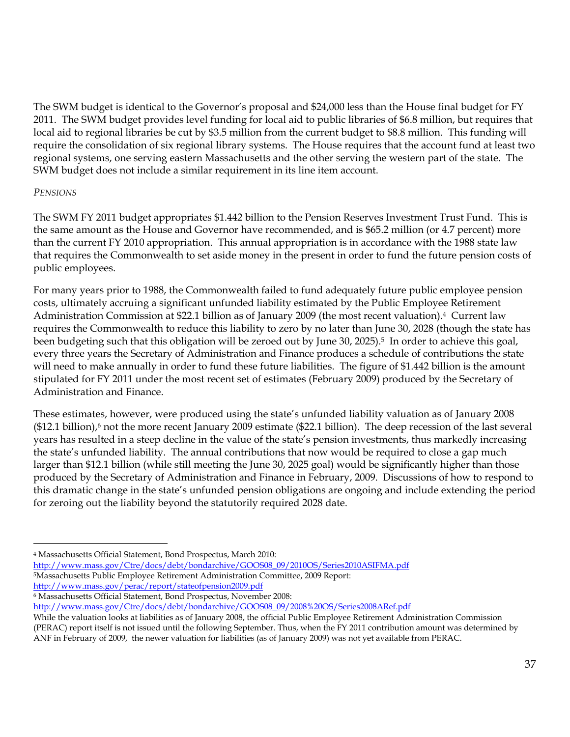The SWM budget is identical to the Governor's proposal and \$24,000 less than the House final budget for FY 2011. The SWM budget provides level funding for local aid to public libraries of \$6.8 million, but requires that local aid to regional libraries be cut by \$3.5 million from the current budget to \$8.8 million. This funding will require the consolidation of six regional library systems. The House requires that the account fund at least two regional systems, one serving eastern Massachusetts and the other serving the western part of the state. The SWM budget does not include a similar requirement in its line item account.

### *PENSIONS*

 $\overline{a}$ 

The SWM FY 2011 budget appropriates \$1.442 billion to the Pension Reserves Investment Trust Fund. This is the same amount as the House and Governor have recommended, and is \$65.2 million (or 4.7 percent) more than the current FY 2010 appropriation. This annual appropriation is in accordance with the 1988 state law that requires the Commonwealth to set aside money in the present in order to fund the future pension costs of public employees.

For many years prior to 1988, the Commonwealth failed to fund adequately future public employee pension costs, ultimately accruing a significant unfunded liability estimated by the Public Employee Retirement Administration Commission at \$22.1 billion as of January 2009 (the most recent valuation).4 Current law requires the Commonwealth to reduce this liability to zero by no later than June 30, 2028 (though the state has been budgeting such that this obligation will be zeroed out by June 30, 2025).5 In order to achieve this goal, every three years the Secretary of Administration and Finance produces a schedule of contributions the state will need to make annually in order to fund these future liabilities. The figure of \$1.442 billion is the amount stipulated for FY 2011 under the most recent set of estimates (February 2009) produced by the Secretary of Administration and Finance.

These estimates, however, were produced using the state's unfunded liability valuation as of January 2008 (\$12.1 billion),<sup>6</sup> not the more recent January 2009 estimate (\$22.1 billion). The deep recession of the last several years has resulted in a steep decline in the value of the state's pension investments, thus markedly increasing the state's unfunded liability. The annual contributions that now would be required to close a gap much larger than \$12.1 billion (while still meeting the June 30, 2025 goal) would be significantly higher than those produced by the Secretary of Administration and Finance in February, 2009. Discussions of how to respond to this dramatic change in the state's unfunded pension obligations are ongoing and include extending the period for zeroing out the liability beyond the statutorily required 2028 date.

4 Massachusetts Official Statement, Bond Prospectus, March 2010:

http://www.mass.gov/Ctre/docs/debt/bondarchive/GOOS08\_09/2010OS/Series2010ASIFMA.pdf

5Massachusetts Public Employee Retirement Administration Committee, 2009 Report:

http://www.mass.gov/perac/report/stateofpension2009.pdf

6 Massachusetts Official Statement, Bond Prospectus, November 2008:

http://www.mass.gov/Ctre/docs/debt/bondarchive/GOOS08\_09/2008%20OS/Series2008ARef.pdf

While the valuation looks at liabilities as of January 2008, the official Public Employee Retirement Administration Commission (PERAC) report itself is not issued until the following September. Thus, when the FY 2011 contribution amount was determined by ANF in February of 2009, the newer valuation for liabilities (as of January 2009) was not yet available from PERAC.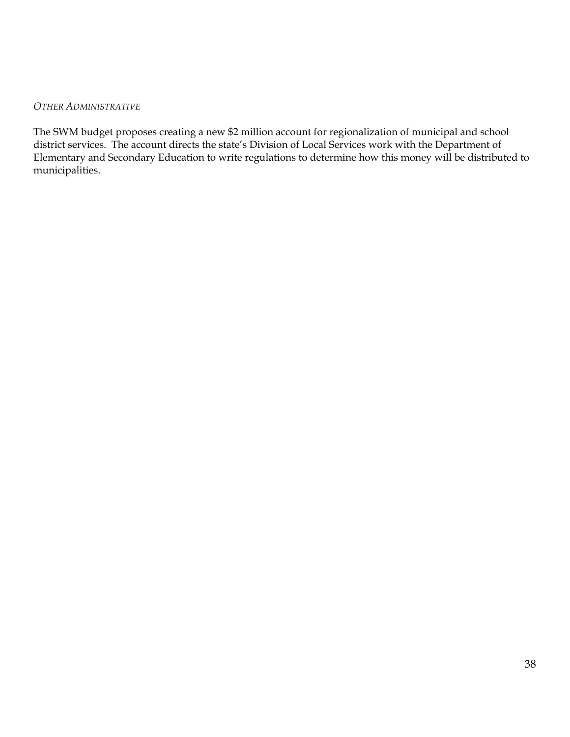#### *OTHER ADMINISTRATIVE*

The SWM budget proposes creating a new \$2 million account for regionalization of municipal and school district services. The account directs the state's Division of Local Services work with the Department of Elementary and Secondary Education to write regulations to determine how this money will be distributed to municipalities.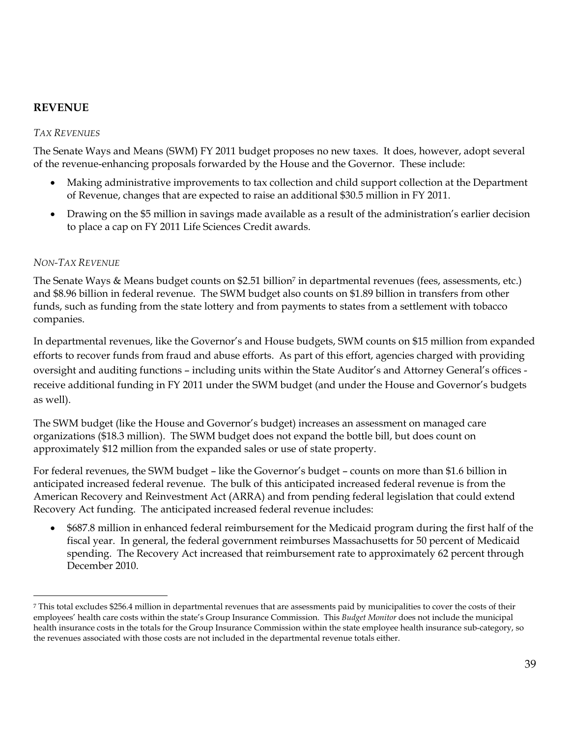# **REVENUE**

### *TAX REVENUES*

The Senate Ways and Means (SWM) FY 2011 budget proposes no new taxes. It does, however, adopt several of the revenue-enhancing proposals forwarded by the House and the Governor. These include:

- Making administrative improvements to tax collection and child support collection at the Department of Revenue, changes that are expected to raise an additional \$30.5 million in FY 2011.
- Drawing on the \$5 million in savings made available as a result of the administration's earlier decision to place a cap on FY 2011 Life Sciences Credit awards.

### *NON-TAX REVENUE*

 $\overline{a}$ 

The Senate Ways & Means budget counts on \$2.51 billion<sup>7</sup> in departmental revenues (fees, assessments, etc.) and \$8.96 billion in federal revenue. The SWM budget also counts on \$1.89 billion in transfers from other funds, such as funding from the state lottery and from payments to states from a settlement with tobacco companies.

In departmental revenues, like the Governor's and House budgets, SWM counts on \$15 million from expanded efforts to recover funds from fraud and abuse efforts. As part of this effort, agencies charged with providing oversight and auditing functions – including units within the State Auditor's and Attorney General's offices receive additional funding in FY 2011 under the SWM budget (and under the House and Governor's budgets as well).

The SWM budget (like the House and Governor's budget) increases an assessment on managed care organizations (\$18.3 million). The SWM budget does not expand the bottle bill, but does count on approximately \$12 million from the expanded sales or use of state property.

For federal revenues, the SWM budget – like the Governor's budget – counts on more than \$1.6 billion in anticipated increased federal revenue. The bulk of this anticipated increased federal revenue is from the American Recovery and Reinvestment Act (ARRA) and from pending federal legislation that could extend Recovery Act funding. The anticipated increased federal revenue includes:

 \$687.8 million in enhanced federal reimbursement for the Medicaid program during the first half of the fiscal year. In general, the federal government reimburses Massachusetts for 50 percent of Medicaid spending. The Recovery Act increased that reimbursement rate to approximately 62 percent through December 2010.

<sup>7</sup> This total excludes \$256.4 million in departmental revenues that are assessments paid by municipalities to cover the costs of their employees' health care costs within the state's Group Insurance Commission. This *Budget Monitor* does not include the municipal health insurance costs in the totals for the Group Insurance Commission within the state employee health insurance sub-category, so the revenues associated with those costs are not included in the departmental revenue totals either.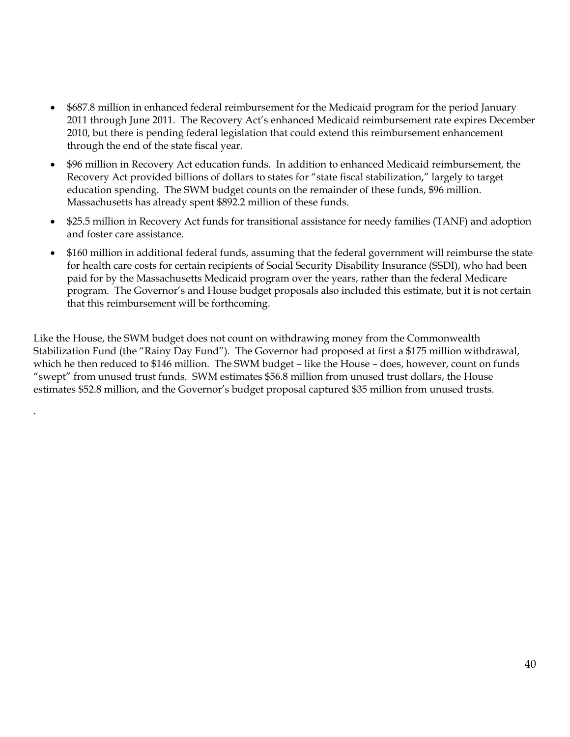- \$687.8 million in enhanced federal reimbursement for the Medicaid program for the period January 2011 through June 2011. The Recovery Act's enhanced Medicaid reimbursement rate expires December 2010, but there is pending federal legislation that could extend this reimbursement enhancement through the end of the state fiscal year.
- \$96 million in Recovery Act education funds. In addition to enhanced Medicaid reimbursement, the Recovery Act provided billions of dollars to states for "state fiscal stabilization," largely to target education spending. The SWM budget counts on the remainder of these funds, \$96 million. Massachusetts has already spent \$892.2 million of these funds.
- \$25.5 million in Recovery Act funds for transitional assistance for needy families (TANF) and adoption and foster care assistance.
- \$160 million in additional federal funds, assuming that the federal government will reimburse the state for health care costs for certain recipients of Social Security Disability Insurance (SSDI), who had been paid for by the Massachusetts Medicaid program over the years, rather than the federal Medicare program. The Governor's and House budget proposals also included this estimate, but it is not certain that this reimbursement will be forthcoming.

Like the House, the SWM budget does not count on withdrawing money from the Commonwealth Stabilization Fund (the "Rainy Day Fund"). The Governor had proposed at first a \$175 million withdrawal, which he then reduced to \$146 million. The SWM budget – like the House – does, however, count on funds "swept" from unused trust funds. SWM estimates \$56.8 million from unused trust dollars, the House estimates \$52.8 million, and the Governor's budget proposal captured \$35 million from unused trusts.

.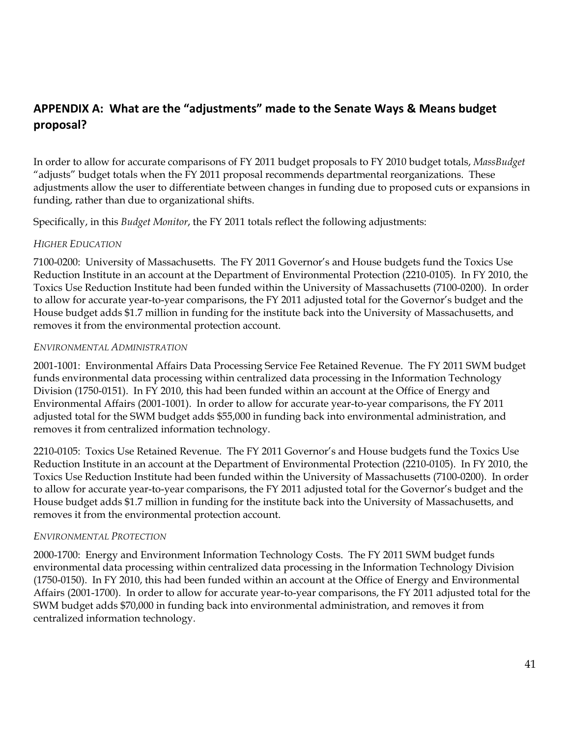# **APPENDIX A: What are the "adjustments" made to the Senate Ways & Means budget proposal?**

In order to allow for accurate comparisons of FY 2011 budget proposals to FY 2010 budget totals, *MassBudget*  "adjusts" budget totals when the FY 2011 proposal recommends departmental reorganizations. These adjustments allow the user to differentiate between changes in funding due to proposed cuts or expansions in funding, rather than due to organizational shifts.

Specifically, in this *Budget Monitor*, the FY 2011 totals reflect the following adjustments:

#### *HIGHER EDUCATION*

7100-0200: University of Massachusetts. The FY 2011 Governor's and House budgets fund the Toxics Use Reduction Institute in an account at the Department of Environmental Protection (2210-0105). In FY 2010, the Toxics Use Reduction Institute had been funded within the University of Massachusetts (7100-0200). In order to allow for accurate year-to-year comparisons, the FY 2011 adjusted total for the Governor's budget and the House budget adds \$1.7 million in funding for the institute back into the University of Massachusetts, and removes it from the environmental protection account.

#### *ENVIRONMENTAL ADMINISTRATION*

2001-1001: Environmental Affairs Data Processing Service Fee Retained Revenue. The FY 2011 SWM budget funds environmental data processing within centralized data processing in the Information Technology Division (1750-0151). In FY 2010, this had been funded within an account at the Office of Energy and Environmental Affairs (2001-1001). In order to allow for accurate year-to-year comparisons, the FY 2011 adjusted total for the SWM budget adds \$55,000 in funding back into environmental administration, and removes it from centralized information technology.

2210-0105: Toxics Use Retained Revenue. The FY 2011 Governor's and House budgets fund the Toxics Use Reduction Institute in an account at the Department of Environmental Protection (2210-0105). In FY 2010, the Toxics Use Reduction Institute had been funded within the University of Massachusetts (7100-0200). In order to allow for accurate year-to-year comparisons, the FY 2011 adjusted total for the Governor's budget and the House budget adds \$1.7 million in funding for the institute back into the University of Massachusetts, and removes it from the environmental protection account.

### *ENVIRONMENTAL PROTECTION*

2000-1700: Energy and Environment Information Technology Costs. The FY 2011 SWM budget funds environmental data processing within centralized data processing in the Information Technology Division (1750-0150). In FY 2010, this had been funded within an account at the Office of Energy and Environmental Affairs (2001-1700). In order to allow for accurate year-to-year comparisons, the FY 2011 adjusted total for the SWM budget adds \$70,000 in funding back into environmental administration, and removes it from centralized information technology.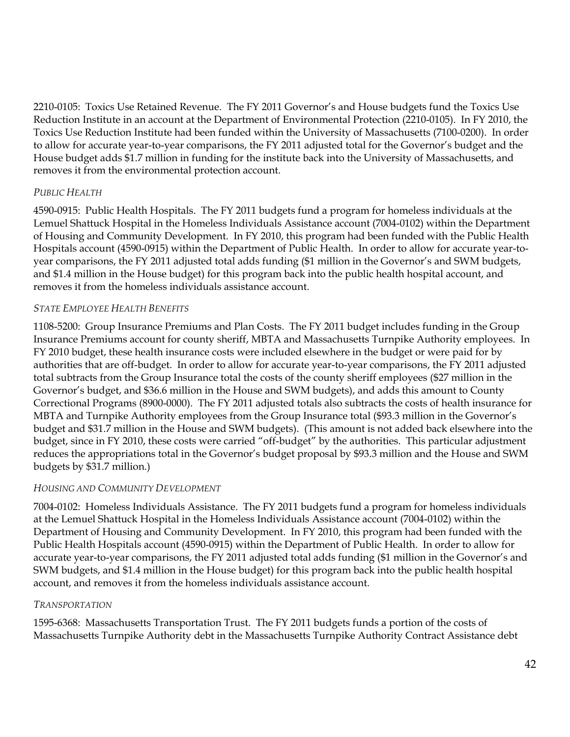2210-0105: Toxics Use Retained Revenue. The FY 2011 Governor's and House budgets fund the Toxics Use Reduction Institute in an account at the Department of Environmental Protection (2210-0105). In FY 2010, the Toxics Use Reduction Institute had been funded within the University of Massachusetts (7100-0200). In order to allow for accurate year-to-year comparisons, the FY 2011 adjusted total for the Governor's budget and the House budget adds \$1.7 million in funding for the institute back into the University of Massachusetts, and removes it from the environmental protection account.

# *PUBLIC HEALTH*

4590-0915: Public Health Hospitals. The FY 2011 budgets fund a program for homeless individuals at the Lemuel Shattuck Hospital in the Homeless Individuals Assistance account (7004-0102) within the Department of Housing and Community Development. In FY 2010, this program had been funded with the Public Health Hospitals account (4590-0915) within the Department of Public Health. In order to allow for accurate year-toyear comparisons, the FY 2011 adjusted total adds funding (\$1 million in the Governor's and SWM budgets, and \$1.4 million in the House budget) for this program back into the public health hospital account, and removes it from the homeless individuals assistance account.

### *STATE EMPLOYEE HEALTH BENEFITS*

1108-5200: Group Insurance Premiums and Plan Costs. The FY 2011 budget includes funding in the Group Insurance Premiums account for county sheriff, MBTA and Massachusetts Turnpike Authority employees. In FY 2010 budget, these health insurance costs were included elsewhere in the budget or were paid for by authorities that are off-budget. In order to allow for accurate year-to-year comparisons, the FY 2011 adjusted total subtracts from the Group Insurance total the costs of the county sheriff employees (\$27 million in the Governor's budget, and \$36.6 million in the House and SWM budgets), and adds this amount to County Correctional Programs (8900-0000). The FY 2011 adjusted totals also subtracts the costs of health insurance for MBTA and Turnpike Authority employees from the Group Insurance total (\$93.3 million in the Governor's budget and \$31.7 million in the House and SWM budgets). (This amount is not added back elsewhere into the budget, since in FY 2010, these costs were carried "off-budget" by the authorities. This particular adjustment reduces the appropriations total in the Governor's budget proposal by \$93.3 million and the House and SWM budgets by \$31.7 million.)

### *HOUSING AND COMMUNITY DEVELOPMENT*

7004-0102: Homeless Individuals Assistance. The FY 2011 budgets fund a program for homeless individuals at the Lemuel Shattuck Hospital in the Homeless Individuals Assistance account (7004-0102) within the Department of Housing and Community Development. In FY 2010, this program had been funded with the Public Health Hospitals account (4590-0915) within the Department of Public Health. In order to allow for accurate year-to-year comparisons, the FY 2011 adjusted total adds funding (\$1 million in the Governor's and SWM budgets, and \$1.4 million in the House budget) for this program back into the public health hospital account, and removes it from the homeless individuals assistance account.

### *TRANSPORTATION*

1595-6368: Massachusetts Transportation Trust. The FY 2011 budgets funds a portion of the costs of Massachusetts Turnpike Authority debt in the Massachusetts Turnpike Authority Contract Assistance debt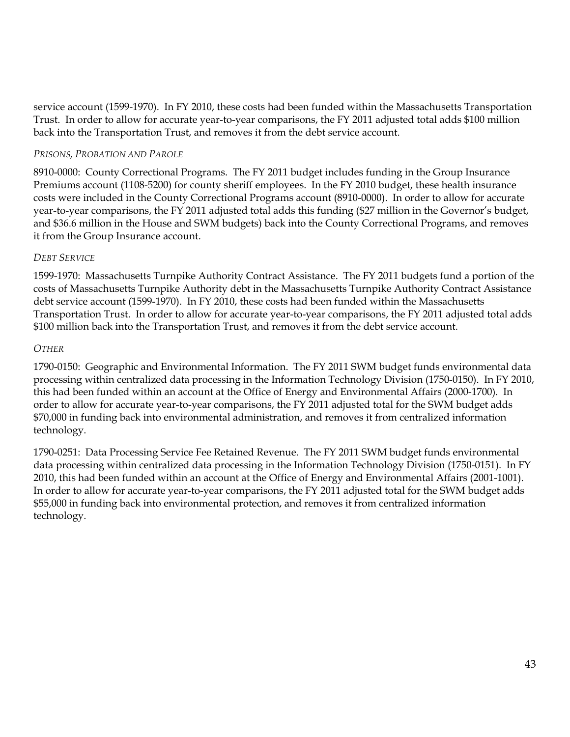service account (1599-1970). In FY 2010, these costs had been funded within the Massachusetts Transportation Trust. In order to allow for accurate year-to-year comparisons, the FY 2011 adjusted total adds \$100 million back into the Transportation Trust, and removes it from the debt service account.

### *PRISONS, PROBATION AND PAROLE*

8910-0000: County Correctional Programs. The FY 2011 budget includes funding in the Group Insurance Premiums account (1108-5200) for county sheriff employees. In the FY 2010 budget, these health insurance costs were included in the County Correctional Programs account (8910-0000). In order to allow for accurate year-to-year comparisons, the FY 2011 adjusted total adds this funding (\$27 million in the Governor's budget, and \$36.6 million in the House and SWM budgets) back into the County Correctional Programs, and removes it from the Group Insurance account.

### *DEBT SERVICE*

1599-1970: Massachusetts Turnpike Authority Contract Assistance. The FY 2011 budgets fund a portion of the costs of Massachusetts Turnpike Authority debt in the Massachusetts Turnpike Authority Contract Assistance debt service account (1599-1970). In FY 2010, these costs had been funded within the Massachusetts Transportation Trust. In order to allow for accurate year-to-year comparisons, the FY 2011 adjusted total adds \$100 million back into the Transportation Trust, and removes it from the debt service account.

### *OTHER*

1790-0150: Geographic and Environmental Information. The FY 2011 SWM budget funds environmental data processing within centralized data processing in the Information Technology Division (1750-0150). In FY 2010, this had been funded within an account at the Office of Energy and Environmental Affairs (2000-1700). In order to allow for accurate year-to-year comparisons, the FY 2011 adjusted total for the SWM budget adds \$70,000 in funding back into environmental administration, and removes it from centralized information technology.

1790-0251: Data Processing Service Fee Retained Revenue. The FY 2011 SWM budget funds environmental data processing within centralized data processing in the Information Technology Division (1750-0151). In FY 2010, this had been funded within an account at the Office of Energy and Environmental Affairs (2001-1001). In order to allow for accurate year-to-year comparisons, the FY 2011 adjusted total for the SWM budget adds \$55,000 in funding back into environmental protection, and removes it from centralized information technology.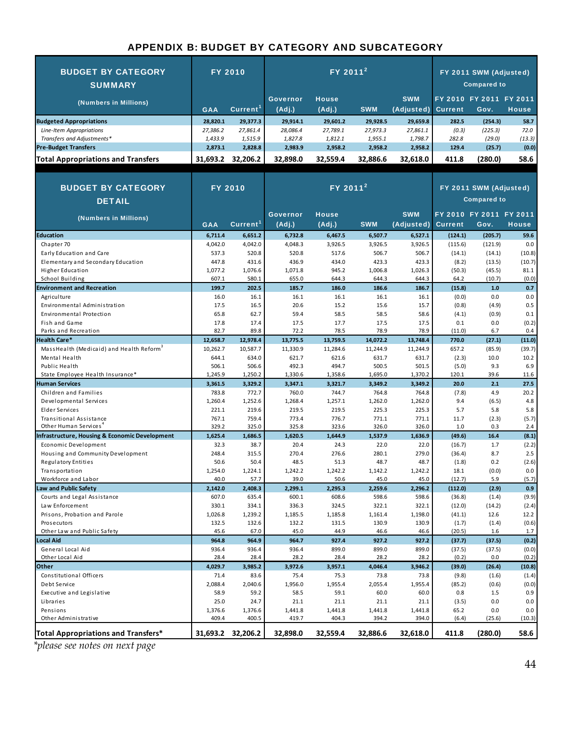#### APPENDIX B: BUDGET BY CATEGORY AND SUBCATEGORY

| <b>BUDGET BY CATEGORY</b><br><b>SUMMARY</b>                  |                  | <b>FY 2010</b>       | $FY$ 2011 <sup>2</sup>    |                        |                  |                          | FY 2011 SWM (Adjusted)<br><b>Compared to</b> |                                 |               |
|--------------------------------------------------------------|------------------|----------------------|---------------------------|------------------------|------------------|--------------------------|----------------------------------------------|---------------------------------|---------------|
| (Numbers in Millions)                                        | <b>GAA</b>       | Current <sup>1</sup> | <b>Governor</b><br>(Adj.) | <b>House</b><br>(Adj.) | <b>SWM</b>       | <b>SWM</b><br>(Adjusted) | <b>Current</b>                               | FY 2010 FY 2011 FY 2011<br>Gov. | <b>House</b>  |
| <b>Budgeted Appropriations</b>                               | 28,820.1         | 29,377.3             | 29,914.1                  | 29,601.2               | 29,928.5         | 29,659.8                 | 282.5                                        | (254.3)                         | 58.7          |
| Line-Item Appropriations                                     | 27,386.2         | 27,861.4             | 28,086.4                  | 27,789.1               | 27,973.3         | 27,861.1                 | (0.3)                                        | (225.3)                         | 72.0          |
| Transfers and Adjustments*                                   | 1,433.9          | 1,515.9              | 1,827.8                   | 1,812.1                | 1,955.1          | 1,798.7                  | 282.8                                        | (29.0)                          | (13.3)        |
| <b>Pre-Budget Transfers</b>                                  | 2,873.1          | 2,828.8              | 2,983.9                   | 2,958.2                | 2,958.2          | 2,958.2                  | 129.4                                        | (25.7)                          | (0.0)         |
| <b>Total Appropriations and Transfers</b>                    |                  | 31,693.2 32,206.2    | 32,898.0                  | 32,559.4               | 32.886.6         | 32.618.0                 | 411.8                                        | (280.0)                         | 58.6          |
|                                                              |                  |                      |                           |                        |                  |                          |                                              |                                 |               |
| <b>BUDGET BY CATEGORY</b><br><b>DETAIL</b>                   | <b>FY 2010</b>   |                      | $FY$ 2011 <sup>2</sup>    |                        |                  |                          | FY 2011 SWM (Adjusted)<br><b>Compared to</b> |                                 |               |
|                                                              |                  |                      | Governor                  | <b>House</b>           |                  | <b>SWM</b>               |                                              | FY 2010 FY 2011 FY 2011         |               |
| (Numbers in Millions)                                        | <b>GAA</b>       | Current <sup>1</sup> | (Adj.)                    | (Adj.)                 | <b>SWM</b>       | (Adjusted)               | <b>Current</b>                               | Gov.                            | <b>House</b>  |
| <b>Education</b>                                             | 6,711.4          | 6,651.2              | 6,732.8                   | 6,467.5                | 6,507.7          | 6,527.1                  | (124.1)                                      | (205.7)                         | 59.6          |
| Chapter 70                                                   | 4,042.0          | 4,042.0              | 4,048.3                   | 3,926.5                | 3,926.5          | 3,926.5                  | (115.6)                                      | (121.9)                         | 0.0           |
| Early Education and Care                                     | 537.3            | 520.8                | 520.8                     | 517.6                  | 506.7            | 506.7                    | (14.1)                                       | (14.1)                          | (10.8)        |
| Elementary and Secondary Education                           | 447.8            | 431.6                | 436.9                     | 434.0                  | 423.3            | 423.3                    | (8.2)                                        | (13.5)                          | (10.7)        |
| Higher Education                                             | 1,077.2          | 1,076.6              | 1,071.8                   | 945.2                  | 1,006.8          | 1,026.3                  | (50.3)                                       | (45.5)                          | 81.1          |
| School Building                                              | 607.1            | 580.1                | 655.0                     | 644.3                  | 644.3            | 644.3                    | 64.2                                         | (10.7)                          | (0.0)         |
| <b>Environment and Recreation</b>                            | 199.7            | 202.5                | 185.7                     | 186.0                  | 186.6            | 186.7                    | (15.8)                                       | 1.0                             | 0.7           |
| Agriculture                                                  | 16.0             | 16.1                 | 16.1                      | 16.1                   | 16.1             | 16.1                     | (0.0)                                        | 0.0                             | 0.0           |
| Environmental Administration                                 | 17.5             | 16.5                 | 20.6                      | 15.2                   | 15.6             | 15.7                     | (0.8)                                        | (4.9)                           | 0.5           |
| Environmental Protection                                     | 65.8             | 62.7                 | 59.4                      | 58.5                   | 58.5             | 58.6                     | (4.1)                                        | (0.9)                           | 0.1           |
| Fish and Game                                                | 17.8             | 17.4                 | 17.5                      | 17.7                   | 17.5             | 17.5                     | 0.1                                          | 0.0                             | (0.2)         |
| Parks and Recreation                                         | 82.7             | 89.8                 | 72.2                      | 78.5                   | 78.9             | 78.9                     | (11.0)                                       | 6.7                             | 0.4           |
| <b>Health Care*</b>                                          | 12,658.7         | 12,978.4             | 13,775.5                  | 13,759.5               | 14,072.2         | 13,748.4                 | 770.0                                        | (27.1)                          | (11.0)        |
| MassHealth (Medicaid) and Health Reform <sup>3</sup>         | 10,262.7         | 10,587.7             | 11,330.9                  | 11,284.6               | 11,244.9         | 11,244.9                 | 657.2                                        | (85.9)                          | (39.7)        |
| Mental Health                                                | 644.1            | 634.0                | 621.7                     | 621.6                  | 631.7            | 631.7                    | (2.3)                                        | 10.0                            | 10.2          |
| Public Health                                                | 506.1            | 506.6                | 492.3                     | 494.7                  | 500.5            | 501.5                    | (5.0)                                        | 9.3                             | 6.9           |
| State Employee Health Insurance*                             | 1,245.9          | 1,250.2              | 1,330.6                   | 1,358.6                | 1,695.0          | 1,370.2                  | 120.1                                        | 39.6                            | 11.6          |
| <b>Human Services</b>                                        | 3,361.5          | 3,329.2              | 3,347.1                   | 3,321.7                | 3,349.2          | 3,349.2                  | 20.0                                         | 2.1                             | 27.5          |
| Children and Families                                        | 783.8            | 772.7                | 760.0                     | 744.7                  | 764.8            | 764.8                    | (7.8)                                        | 4.9                             | 20.2          |
| Developmental Services                                       | 1,260.4          | 1,252.6              | 1,268.4                   | 1,257.1                | 1,262.0          | 1,262.0                  | 9.4                                          | (6.5)                           | 4.8           |
| Elder Services                                               | 221.1            | 219.6                | 219.5                     | 219.5                  | 225.3            | 225.3                    | 5.7                                          | 5.8                             | 5.8           |
| Transitional Assistance<br>Other Human Services <sup>4</sup> | 767.1<br>329.2   | 759.4<br>325.0       | 773.4<br>325.8            | 776.7<br>323.6         | 771.1<br>326.0   | 771.1<br>326.0           | 11.7<br>1.0                                  | (2.3)<br>0.3                    | (5.7)<br>2.4  |
| <b>Infrastructure, Housing &amp; Economic Development</b>    | 1,625.4          | 1,686.5              | 1,620.5                   | 1,644.9                | 1,537.9          | 1,636.9                  | (49.6)                                       | 16.4                            | (8.1)         |
| Economic Development                                         | 32.3             | 38.7                 | 20.4                      | 24.3                   | 22.0             | 22.0                     | (16.7)                                       | 1.7                             | (2.2)         |
| Housing and Community Development                            | 248.4            | 315.5                | 270.4                     | 276.6                  | 280.1            | 279.0                    | (36.4)                                       | 8.7                             | 2.5           |
| Regulatory Entities                                          | 50.6             | 50.4                 | 48.5                      | 51.3                   | 48.7             | 48.7                     | (1.8)                                        | 0.2                             | (2.6)         |
| Transportation                                               | 1,254.0          | 1,224.1              | 1,242.2                   | 1,242.2                | 1,142.2          | 1,242.2                  | 18.1                                         | (0.0)                           | 0.0           |
| Workforce and Labor                                          | 40.0             | 57.7                 | 39.0                      | 50.6                   | 45.0             | 45.0                     | (12.7)                                       | 5.9                             | (5.7)         |
| <b>Law and Public Safety</b>                                 | 2,142.0          | 2,408.3              | 2,299.1                   | 2,295.3                | 2,259.6          | 2,296.2                  | (112.0)                                      | (2.9)                           | 0.9           |
| Courts and Legal Assistance                                  | 607.0            | 635.4                | 600.1                     | 608.6                  | 598.6            | 598.6                    | (36.8)                                       | (1.4)                           | (9.9)         |
| Law Enforcement                                              | 330.1            | 334.1                | 336.3                     | 324.5                  | 322.1            | 322.1                    | (12.0)                                       | (14.2)                          | (2.4)         |
| Prisons, Probation and Parole                                | 1,026.8          | 1,239.2              | 1,185.5                   | 1,185.8                | 1,161.4          | 1,198.0                  | (41.1)                                       | 12.6                            | 12.2          |
| Prosecutors                                                  | 132.5            | 132.6                | 132.2                     | 131.5                  | 130.9            | 130.9                    | (1.7)                                        | (1.4)                           | (0.6)         |
| Other Law and Public Safety                                  | 45.6             | 67.0                 | 45.0                      | 44.9                   | 46.6             | 46.6                     | (20.5)                                       | 1.6                             | 1.7           |
| Local Aid                                                    | 964.8            | 964.9                | 964.7                     | 927.4                  | 927.2            | 927.2                    | (37.7)                                       | (37.5)                          | (0.2)         |
| General Local Aid                                            | 936.4            | 936.4                | 936.4                     | 899.0                  | 899.0            | 899.0                    | (37.5)                                       | (37.5)                          | (0.0)         |
| Other Local Aid                                              | 28.4             | 28.4                 | 28.2                      | 28.4                   | 28.2             | 28.2                     | (0.2)                                        | 0.0                             | (0.2)         |
| Other                                                        | 4,029.7          | 3,985.2              | 3,972.6                   | 3,957.1                | 4,046.4          | 3,946.2                  | (39.0)                                       | (26.4)                          | (10.8)        |
| Constitutional Officers                                      | 71.4             | 83.6                 | 75.4                      | 75.3                   | 73.8             | 73.8                     | (9.8)                                        | (1.6)                           | (1.4)         |
| Debt Service                                                 | 2,088.4          | 2,040.6              | 1,956.0                   | 1,955.4                | 2,055.4          | 1,955.4                  | (85.2)                                       | (0.6)                           | (0.0)         |
| Executive and Legislative                                    | 58.9             | 59.2                 | 58.5                      | 59.1                   | 60.0             | 60.0                     | 0.8                                          | 1.5                             | 0.9           |
| Libraries                                                    | 25.0             | 24.7                 | 21.1                      | 21.1                   | 21.1             | 21.1                     | (3.5)                                        | 0.0                             | 0.0           |
| Pensions<br>Other Administrative                             | 1,376.6<br>409.4 | 1,376.6<br>400.5     | 1,441.8<br>419.7          | 1,441.8<br>404.3       | 1,441.8<br>394.2 | 1,441.8<br>394.0         | 65.2<br>(6.4)                                | 0.0<br>(25.6)                   | 0.0<br>(10.3) |
|                                                              |                  |                      |                           |                        |                  |                          |                                              |                                 |               |
| Total Appropriations and Transfers*                          | 31,693.2         | 32,206.2             | 32,898.0                  | 32,559.4               | 32,886.6         | 32,618.0                 | 411.8                                        | (280.0)                         | 58.6          |

*\*please see notes on next page*